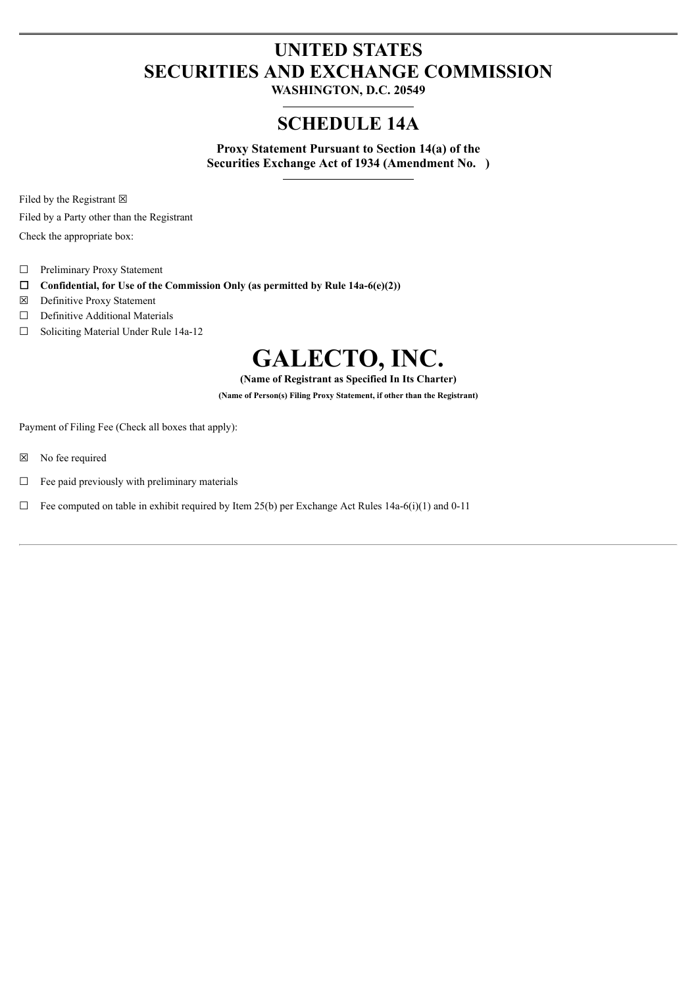# **UNITED STATES SECURITIES AND EXCHANGE COMMISSION**

**WASHINGTON, D.C. 20549**

# **SCHEDULE 14A**

**Proxy Statement Pursuant to Section 14(a) of the Securities Exchange Act of 1934 (Amendment No. )**

Filed by the Registrant  $\boxtimes$ 

Filed by a Party other than the Registrant

Check the appropriate box:

- ☐ Preliminary Proxy Statement
- ☐ **Confidential, for Use of the Commission Only (as permitted by Rule 14a-6(e)(2))**
- ☒ Definitive Proxy Statement
- □ Definitive Additional Materials
- ☐ Soliciting Material Under Rule 14a-12

# **GALECTO, INC.**

**(Name of Registrant as Specified In Its Charter)**

**(Name of Person(s) Filing Proxy Statement, if other than the Registrant)**

Payment of Filing Fee (Check all boxes that apply):

- ☒ No fee required
- $\Box$  Fee paid previously with preliminary materials
- $\Box$  Fee computed on table in exhibit required by Item 25(b) per Exchange Act Rules 14a-6(i)(1) and 0-11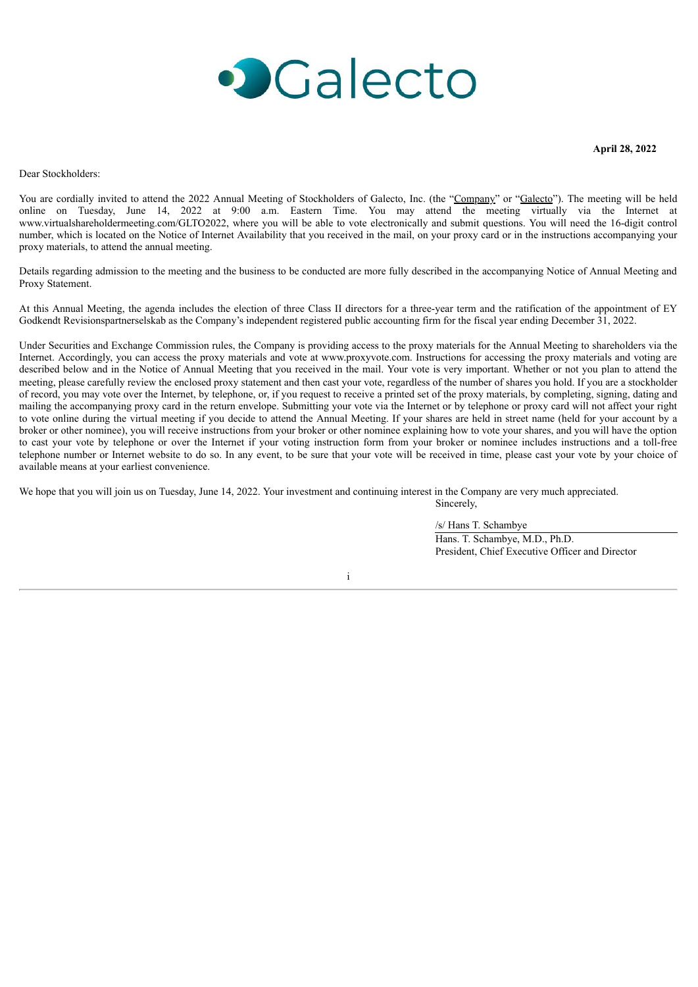

**April 28, 2022**

Dear Stockholders:

You are cordially invited to attend the 2022 Annual Meeting of Stockholders of Galecto, Inc. (the "Company" or "Galecto"). The meeting will be held online on Tuesday, June 14, 2022 at 9:00 a.m. Eastern Time. You may attend the meeting virtually via the Internet at www.virtualshareholdermeeting.com/GLTO2022, where you will be able to vote electronically and submit questions. You will need the 16-digit control number, which is located on the Notice of Internet Availability that you received in the mail, on your proxy card or in the instructions accompanying your proxy materials, to attend the annual meeting.

Details regarding admission to the meeting and the business to be conducted are more fully described in the accompanying Notice of Annual Meeting and Proxy Statement.

At this Annual Meeting, the agenda includes the election of three Class II directors for a three-year term and the ratification of the appointment of EY Godkendt Revisionspartnerselskab as the Company's independent registered public accounting firm for the fiscal year ending December 31, 2022.

Under Securities and Exchange Commission rules, the Company is providing access to the proxy materials for the Annual Meeting to shareholders via the Internet. Accordingly, you can access the proxy materials and vote at www.proxyvote.com. Instructions for accessing the proxy materials and voting are described below and in the Notice of Annual Meeting that you received in the mail. Your vote is very important. Whether or not you plan to attend the meeting, please carefully review the enclosed proxy statement and then cast your vote, regardless of the number of shares you hold. If you are a stockholder of record, you may vote over the Internet, by telephone, or, if you request to receive a printed set of the proxy materials, by completing, signing, dating and mailing the accompanying proxy card in the return envelope. Submitting your vote via the Internet or by telephone or proxy card will not affect your right to vote online during the virtual meeting if you decide to attend the Annual Meeting. If your shares are held in street name (held for your account by a broker or other nominee), you will receive instructions from your broker or other nominee explaining how to vote your shares, and you will have the option to cast your vote by telephone or over the Internet if your voting instruction form from your broker or nominee includes instructions and a toll-free telephone number or Internet website to do so. In any event, to be sure that your vote will be received in time, please cast your vote by your choice of available means at your earliest convenience.

We hope that you will join us on Tuesday, June 14, 2022. Your investment and continuing interest in the Company are very much appreciated.

/s/ Hans T. Schambye Hans. T. Schambye, M.D., Ph.D. President, Chief Executive Officer and Director

Sincerely,

i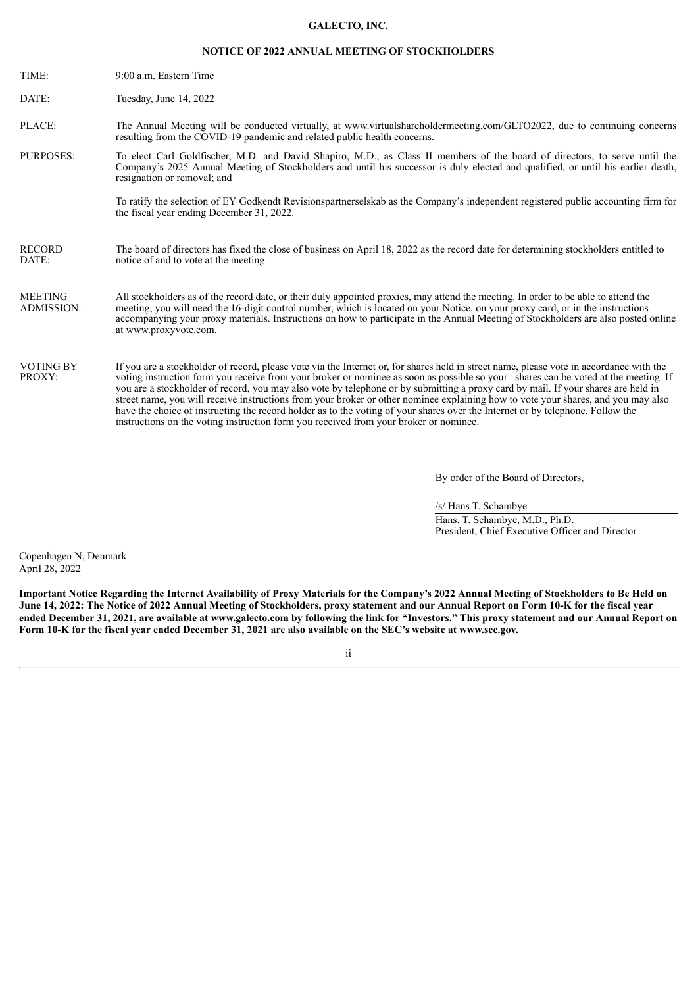#### **GALECTO, INC.**

# **NOTICE OF 2022 ANNUAL MEETING OF STOCKHOLDERS**

| TIME:                               | 9:00 a.m. Eastern Time                                                                                                                                                                                                                                                                                                                                                                                                                                                                                                                                                                                                                                                                                                                                                             |
|-------------------------------------|------------------------------------------------------------------------------------------------------------------------------------------------------------------------------------------------------------------------------------------------------------------------------------------------------------------------------------------------------------------------------------------------------------------------------------------------------------------------------------------------------------------------------------------------------------------------------------------------------------------------------------------------------------------------------------------------------------------------------------------------------------------------------------|
| DATE:                               | Tuesday, June 14, 2022                                                                                                                                                                                                                                                                                                                                                                                                                                                                                                                                                                                                                                                                                                                                                             |
| PLACE:                              | The Annual Meeting will be conducted virtually, at www.virtualshareholdermeeting.com/GLTO2022, due to continuing concerns<br>resulting from the COVID-19 pandemic and related public health concerns.                                                                                                                                                                                                                                                                                                                                                                                                                                                                                                                                                                              |
| <b>PURPOSES:</b>                    | To elect Carl Goldfischer, M.D. and David Shapiro, M.D., as Class II members of the board of directors, to serve until the<br>Company's 2025 Annual Meeting of Stockholders and until his successor is duly elected and qualified, or until his earlier death,<br>resignation or removal; and                                                                                                                                                                                                                                                                                                                                                                                                                                                                                      |
|                                     | To ratify the selection of EY Godkendt Revisionspartnerselskab as the Company's independent registered public accounting firm for<br>the fiscal year ending December 31, 2022.                                                                                                                                                                                                                                                                                                                                                                                                                                                                                                                                                                                                     |
| <b>RECORD</b><br>DATE:              | The board of directors has fixed the close of business on April 18, 2022 as the record date for determining stockholders entitled to<br>notice of and to vote at the meeting.                                                                                                                                                                                                                                                                                                                                                                                                                                                                                                                                                                                                      |
| <b>MEETING</b><br><b>ADMISSION:</b> | All stockholders as of the record date, or their duly appointed proxies, may attend the meeting. In order to be able to attend the<br>meeting, you will need the 16-digit control number, which is located on your Notice, on your proxy card, or in the instructions<br>accompanying your proxy materials. Instructions on how to participate in the Annual Meeting of Stockholders are also posted online<br>at www.proxyvote.com.                                                                                                                                                                                                                                                                                                                                               |
| <b>VOTING BY</b><br>PROXY:          | If you are a stockholder of record, please vote via the Internet or, for shares held in street name, please vote in accordance with the<br>voting instruction form you receive from your broker or nominee as soon as possible so your shares can be voted at the meeting. If<br>you are a stockholder of record, you may also vote by telephone or by submitting a proxy card by mail. If your shares are held in<br>street name, you will receive instructions from your broker or other nominee explaining how to vote your shares, and you may also<br>have the choice of instructing the record holder as to the voting of your shares over the Internet or by telephone. Follow the<br>instructions on the voting instruction form you received from your broker or nominee. |

By order of the Board of Directors,

/s/ Hans T. Schambye Hans. T. Schambye, M.D., Ph.D. President, Chief Executive Officer and Director

Copenhagen N, Denmark April 28, 2022

Important Notice Regarding the Internet Availability of Proxy Materials for the Company's 2022 Annual Meeting of Stockholders to Be Held on June 14, 2022: The Notice of 2022 Annual Meeting of Stockholders, proxy statement and our Annual Report on Form 10-K for the fiscal year ended December 31, 2021, are available at www.galecto.com by following the link for "Investors." This proxy statement and our Annual Report on Form 10-K for the fiscal year ended December 31, 2021 are also available on the SEC's website at www.sec.gov.

ii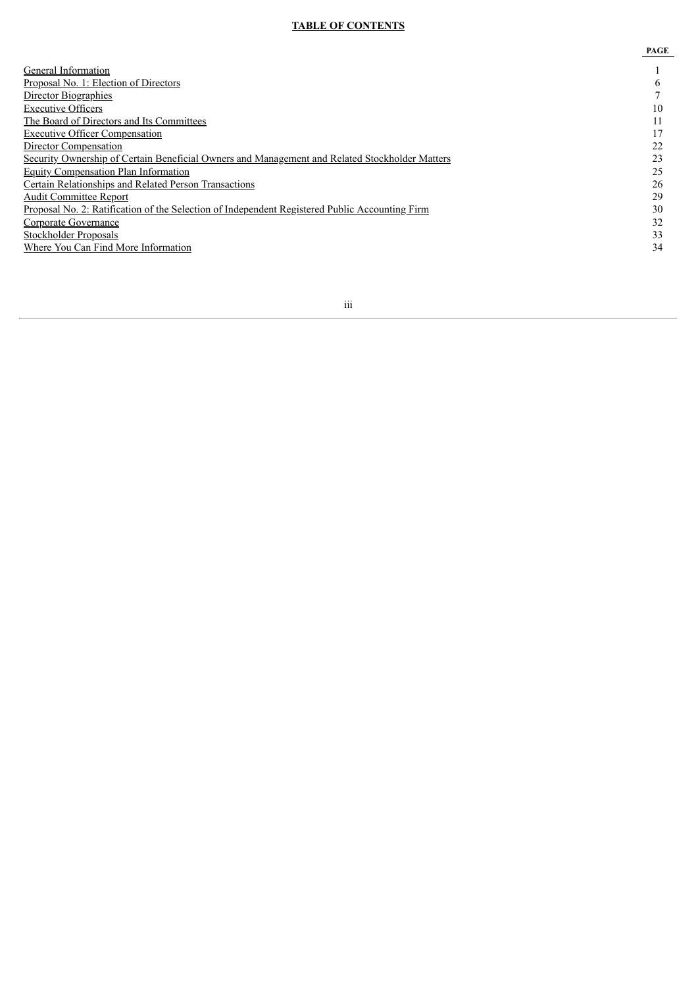# **TABLE OF CONTENTS**

|                                                                                                | PAGE |
|------------------------------------------------------------------------------------------------|------|
| General Information                                                                            |      |
| Proposal No. 1: Election of Directors                                                          | b    |
| Director Biographies                                                                           |      |
| <b>Executive Officers</b>                                                                      | 10   |
| The Board of Directors and Its Committees                                                      | 11   |
| <b>Executive Officer Compensation</b>                                                          | 17   |
| Director Compensation                                                                          | 22   |
| Security Ownership of Certain Beneficial Owners and Management and Related Stockholder Matters | 23   |
| <b>Equity Compensation Plan Information</b>                                                    | 25   |
| Certain Relationships and Related Person Transactions                                          | 26   |
| <b>Audit Committee Report</b>                                                                  | 29   |
| Proposal No. 2: Ratification of the Selection of Independent Registered Public Accounting Firm | 30   |
| Corporate Governance                                                                           | 32   |
| Stockholder Proposals                                                                          | 33   |
| Where You Can Find More Information                                                            | 34   |
|                                                                                                |      |

iii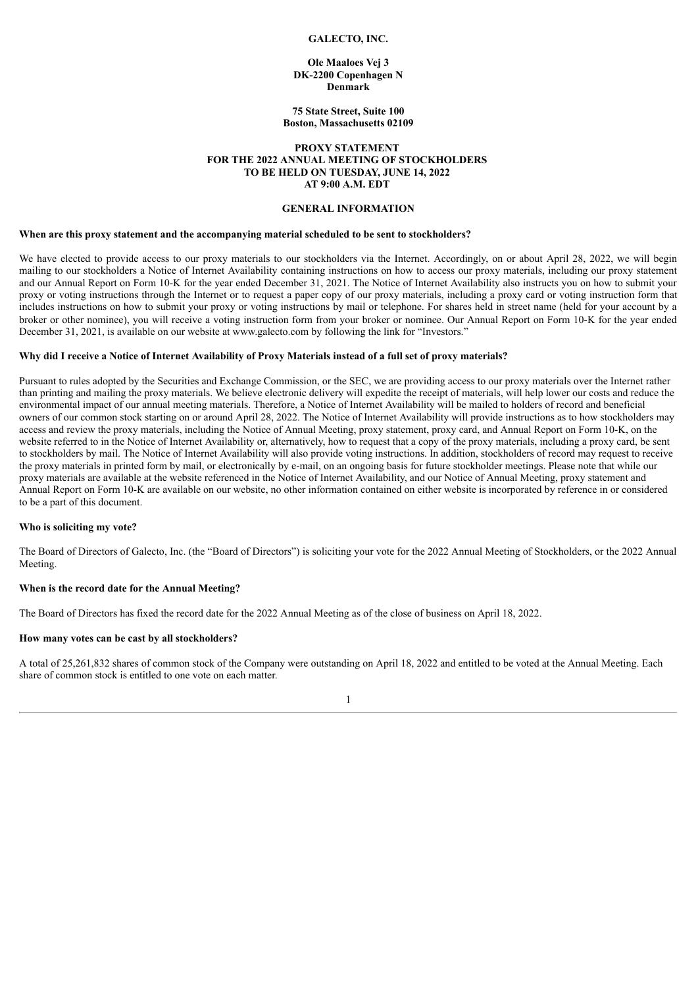#### **GALECTO, INC.**

## **Ole Maaloes Vej 3 DK-2200 Copenhagen N Denmark**

#### **75 State Street, Suite 100 Boston, Massachusetts 02109**

## **PROXY STATEMENT FOR THE 2022 ANNUAL MEETING OF STOCKHOLDERS TO BE HELD ON TUESDAY, JUNE 14, 2022 AT 9:00 A.M. EDT**

# **GENERAL INFORMATION**

#### <span id="page-4-0"></span>**When are this proxy statement and the accompanying material scheduled to be sent to stockholders?**

We have elected to provide access to our proxy materials to our stockholders via the Internet. Accordingly, on or about April 28, 2022, we will begin mailing to our stockholders a Notice of Internet Availability containing instructions on how to access our proxy materials, including our proxy statement and our Annual Report on Form 10-K for the year ended December 31, 2021. The Notice of Internet Availability also instructs you on how to submit your proxy or voting instructions through the Internet or to request a paper copy of our proxy materials, including a proxy card or voting instruction form that includes instructions on how to submit your proxy or voting instructions by mail or telephone. For shares held in street name (held for your account by a broker or other nominee), you will receive a voting instruction form from your broker or nominee. Our Annual Report on Form 10-K for the year ended December 31, 2021, is available on our website at www.galecto.com by following the link for "Investors."

#### Why did I receive a Notice of Internet Availability of Proxy Materials instead of a full set of proxy materials?

Pursuant to rules adopted by the Securities and Exchange Commission, or the SEC, we are providing access to our proxy materials over the Internet rather than printing and mailing the proxy materials. We believe electronic delivery will expedite the receipt of materials, will help lower our costs and reduce the environmental impact of our annual meeting materials. Therefore, a Notice of Internet Availability will be mailed to holders of record and beneficial owners of our common stock starting on or around April 28, 2022. The Notice of Internet Availability will provide instructions as to how stockholders may access and review the proxy materials, including the Notice of Annual Meeting, proxy statement, proxy card, and Annual Report on Form 10-K, on the website referred to in the Notice of Internet Availability or, alternatively, how to request that a copy of the proxy materials, including a proxy card, be sent to stockholders by mail. The Notice of Internet Availability will also provide voting instructions. In addition, stockholders of record may request to receive the proxy materials in printed form by mail, or electronically by e-mail, on an ongoing basis for future stockholder meetings. Please note that while our proxy materials are available at the website referenced in the Notice of Internet Availability, and our Notice of Annual Meeting, proxy statement and Annual Report on Form 10-K are available on our website, no other information contained on either website is incorporated by reference in or considered to be a part of this document.

# **Who is soliciting my vote?**

The Board of Directors of Galecto, Inc. (the "Board of Directors") is soliciting your vote for the 2022 Annual Meeting of Stockholders, or the 2022 Annual Meeting.

# **When is the record date for the Annual Meeting?**

The Board of Directors has fixed the record date for the 2022 Annual Meeting as of the close of business on April 18, 2022.

#### **How many votes can be cast by all stockholders?**

A total of 25,261,832 shares of common stock of the Company were outstanding on April 18, 2022 and entitled to be voted at the Annual Meeting. Each share of common stock is entitled to one vote on each matter.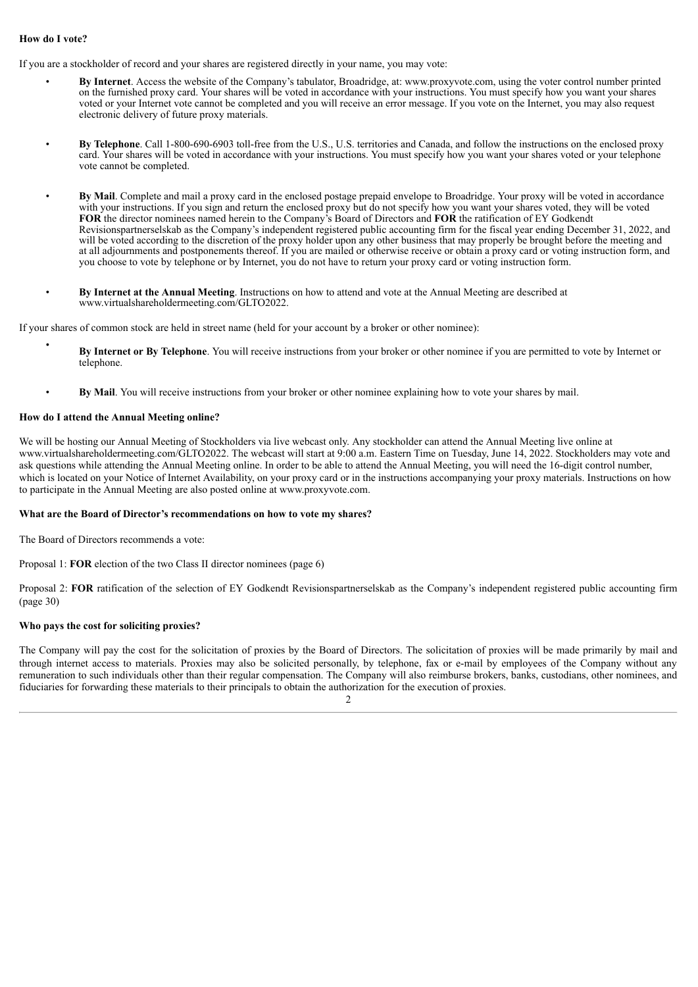# **How do I vote?**

If you are a stockholder of record and your shares are registered directly in your name, you may vote:

- **By Internet**. Access the website of the Company's tabulator, Broadridge, at: www.proxyvote.com, using the voter control number printed on the furnished proxy card. Your shares will be voted in accordance with your instructions. You must specify how you want your shares voted or your Internet vote cannot be completed and you will receive an error message. If you vote on the Internet, you may also request electronic delivery of future proxy materials.
- **By Telephone**. Call 1-800-690-6903 toll-free from the U.S., U.S. territories and Canada, and follow the instructions on the enclosed proxy card. Your shares will be voted in accordance with your instructions. You must specify how you want your shares voted or your telephone vote cannot be completed.
- **By Mail**. Complete and mail a proxy card in the enclosed postage prepaid envelope to Broadridge. Your proxy will be voted in accordance with your instructions. If you sign and return the enclosed proxy but do not specify how you want your shares voted, they will be voted **FOR** the director nominees named herein to the Company's Board of Directors and **FOR** the ratification of EY Godkendt Revisionspartnerselskab as the Company's independent registered public accounting firm for the fiscal year ending December 31, 2022, and will be voted according to the discretion of the proxy holder upon any other business that may properly be brought before the meeting and at all adjournments and postponements thereof. If you are mailed or otherwise receive or obtain a proxy card or voting instruction form, and you choose to vote by telephone or by Internet, you do not have to return your proxy card or voting instruction form.
- **By Internet at the Annual Meeting**. Instructions on how to attend and vote at the Annual Meeting are described at www.virtualshareholdermeeting.com/GLTO2022.

If your shares of common stock are held in street name (held for your account by a broker or other nominee):

- **By Internet or By Telephone**. You will receive instructions from your broker or other nominee if you are permitted to vote by Internet or telephone.
- **By Mail**. You will receive instructions from your broker or other nominee explaining how to vote your shares by mail.

#### **How do I attend the Annual Meeting online?**

We will be hosting our Annual Meeting of Stockholders via live webcast only. Any stockholder can attend the Annual Meeting live online at www.virtualshareholdermeeting.com/GLTO2022. The webcast will start at 9:00 a.m. Eastern Time on Tuesday, June 14, 2022. Stockholders may vote and ask questions while attending the Annual Meeting online. In order to be able to attend the Annual Meeting, you will need the 16-digit control number, which is located on your Notice of Internet Availability, on your proxy card or in the instructions accompanying your proxy materials. Instructions on how to participate in the Annual Meeting are also posted online at www.proxyvote.com.

#### **What are the Board of Director's recommendations on how to vote my shares?**

The Board of Directors recommends a vote:

Proposal 1: **FOR** election of the two Class II director nominees (page 6)

Proposal 2: **FOR** ratification of the selection of EY Godkendt Revisionspartnerselskab as the Company's independent registered public accounting firm (page 30)

### **Who pays the cost for soliciting proxies?**

The Company will pay the cost for the solicitation of proxies by the Board of Directors. The solicitation of proxies will be made primarily by mail and through internet access to materials. Proxies may also be solicited personally, by telephone, fax or e-mail by employees of the Company without any remuneration to such individuals other than their regular compensation. The Company will also reimburse brokers, banks, custodians, other nominees, and fiduciaries for forwarding these materials to their principals to obtain the authorization for the execution of proxies.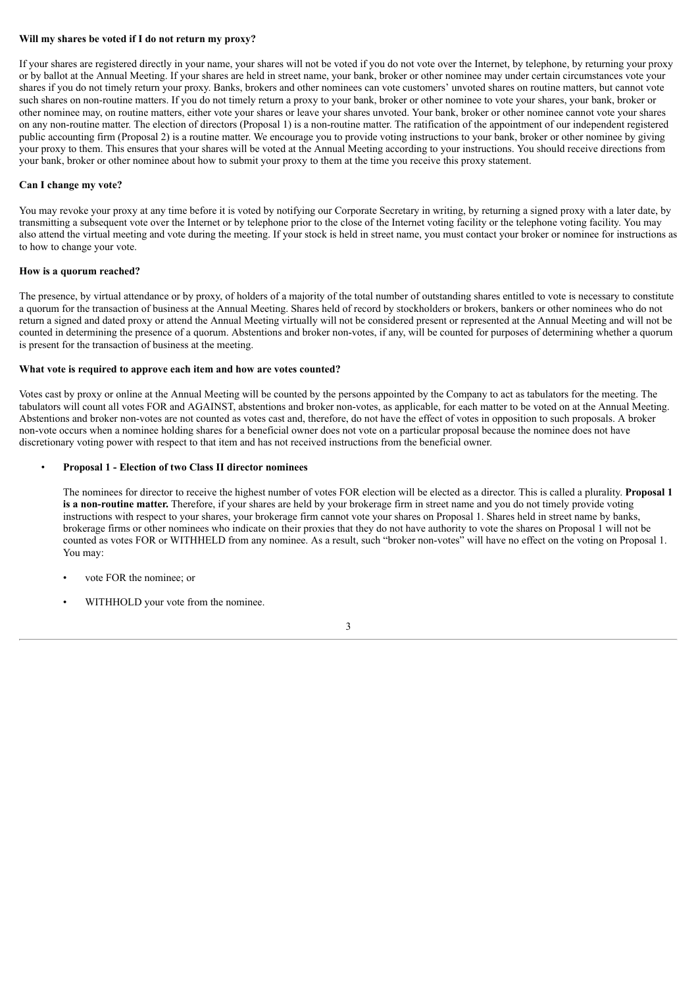# **Will my shares be voted if I do not return my proxy?**

If your shares are registered directly in your name, your shares will not be voted if you do not vote over the Internet, by telephone, by returning your proxy or by ballot at the Annual Meeting. If your shares are held in street name, your bank, broker or other nominee may under certain circumstances vote your shares if you do not timely return your proxy. Banks, brokers and other nominees can vote customers' unvoted shares on routine matters, but cannot vote such shares on non-routine matters. If you do not timely return a proxy to your bank, broker or other nominee to vote your shares, your bank, broker or other nominee may, on routine matters, either vote your shares or leave your shares unvoted. Your bank, broker or other nominee cannot vote your shares on any non-routine matter. The election of directors (Proposal 1) is a non-routine matter. The ratification of the appointment of our independent registered public accounting firm (Proposal 2) is a routine matter. We encourage you to provide voting instructions to your bank, broker or other nominee by giving your proxy to them. This ensures that your shares will be voted at the Annual Meeting according to your instructions. You should receive directions from your bank, broker or other nominee about how to submit your proxy to them at the time you receive this proxy statement.

# **Can I change my vote?**

You may revoke your proxy at any time before it is voted by notifying our Corporate Secretary in writing, by returning a signed proxy with a later date, by transmitting a subsequent vote over the Internet or by telephone prior to the close of the Internet voting facility or the telephone voting facility. You may also attend the virtual meeting and vote during the meeting. If your stock is held in street name, you must contact your broker or nominee for instructions as to how to change your vote.

#### **How is a quorum reached?**

The presence, by virtual attendance or by proxy, of holders of a majority of the total number of outstanding shares entitled to vote is necessary to constitute a quorum for the transaction of business at the Annual Meeting. Shares held of record by stockholders or brokers, bankers or other nominees who do not return a signed and dated proxy or attend the Annual Meeting virtually will not be considered present or represented at the Annual Meeting and will not be counted in determining the presence of a quorum. Abstentions and broker non-votes, if any, will be counted for purposes of determining whether a quorum is present for the transaction of business at the meeting.

# **What vote is required to approve each item and how are votes counted?**

Votes cast by proxy or online at the Annual Meeting will be counted by the persons appointed by the Company to act as tabulators for the meeting. The tabulators will count all votes FOR and AGAINST, abstentions and broker non-votes, as applicable, for each matter to be voted on at the Annual Meeting. Abstentions and broker non-votes are not counted as votes cast and, therefore, do not have the effect of votes in opposition to such proposals. A broker non-vote occurs when a nominee holding shares for a beneficial owner does not vote on a particular proposal because the nominee does not have discretionary voting power with respect to that item and has not received instructions from the beneficial owner.

# • **Proposal 1 - Election of two Class II director nominees**

The nominees for director to receive the highest number of votes FOR election will be elected as a director. This is called a plurality. **Proposal 1 is a non-routine matter.** Therefore, if your shares are held by your brokerage firm in street name and you do not timely provide voting instructions with respect to your shares, your brokerage firm cannot vote your shares on Proposal 1. Shares held in street name by banks, brokerage firms or other nominees who indicate on their proxies that they do not have authority to vote the shares on Proposal 1 will not be counted as votes FOR or WITHHELD from any nominee. As a result, such "broker non-votes" will have no effect on the voting on Proposal 1. You may:

- vote FOR the nominee; or
- WITHHOLD your vote from the nominee.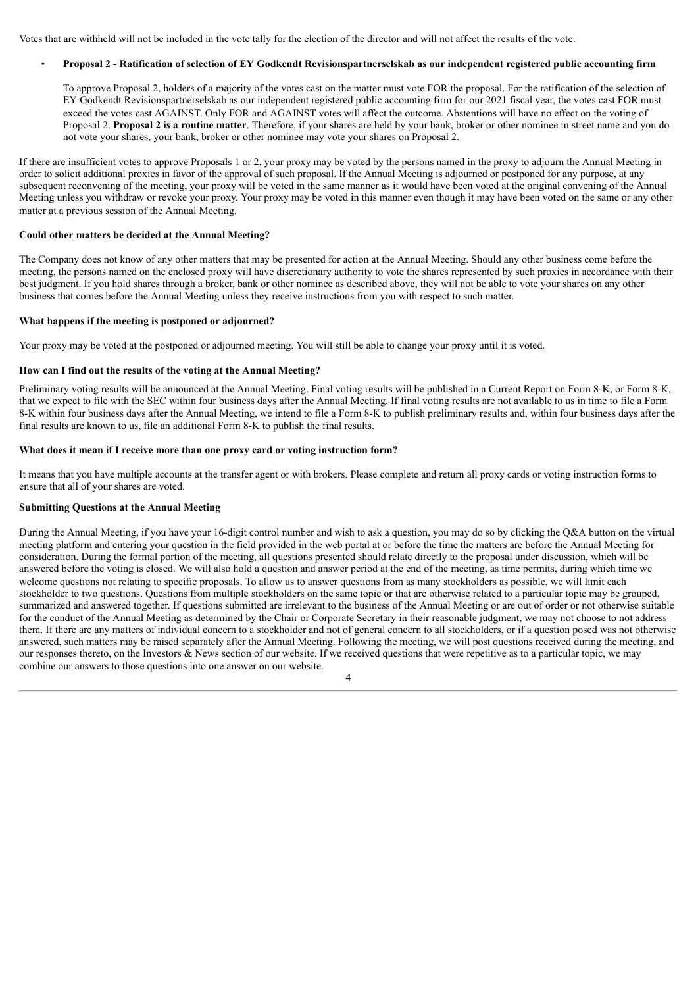Votes that are withheld will not be included in the vote tally for the election of the director and will not affect the results of the vote.

# Proposal 2 - Ratification of selection of EY Godkendt Revisionspartnerselskab as our independent registered public accounting firm

To approve Proposal 2, holders of a majority of the votes cast on the matter must vote FOR the proposal. For the ratification of the selection of EY Godkendt Revisionspartnerselskab as our independent registered public accounting firm for our 2021 fiscal year, the votes cast FOR must exceed the votes cast AGAINST. Only FOR and AGAINST votes will affect the outcome. Abstentions will have no effect on the voting of Proposal 2. **Proposal 2 is a routine matter**. Therefore, if your shares are held by your bank, broker or other nominee in street name and you do not vote your shares, your bank, broker or other nominee may vote your shares on Proposal 2.

If there are insufficient votes to approve Proposals 1 or 2, your proxy may be voted by the persons named in the proxy to adjourn the Annual Meeting in order to solicit additional proxies in favor of the approval of such proposal. If the Annual Meeting is adjourned or postponed for any purpose, at any subsequent reconvening of the meeting, your proxy will be voted in the same manner as it would have been voted at the original convening of the Annual Meeting unless you withdraw or revoke your proxy. Your proxy may be voted in this manner even though it may have been voted on the same or any other matter at a previous session of the Annual Meeting.

# **Could other matters be decided at the Annual Meeting?**

The Company does not know of any other matters that may be presented for action at the Annual Meeting. Should any other business come before the meeting, the persons named on the enclosed proxy will have discretionary authority to vote the shares represented by such proxies in accordance with their best judgment. If you hold shares through a broker, bank or other nominee as described above, they will not be able to vote your shares on any other business that comes before the Annual Meeting unless they receive instructions from you with respect to such matter.

# **What happens if the meeting is postponed or adjourned?**

Your proxy may be voted at the postponed or adjourned meeting. You will still be able to change your proxy until it is voted.

#### **How can I find out the results of the voting at the Annual Meeting?**

Preliminary voting results will be announced at the Annual Meeting. Final voting results will be published in a Current Report on Form 8-K, or Form 8-K, that we expect to file with the SEC within four business days after the Annual Meeting. If final voting results are not available to us in time to file a Form 8-K within four business days after the Annual Meeting, we intend to file a Form 8-K to publish preliminary results and, within four business days after the final results are known to us, file an additional Form 8-K to publish the final results.

#### **What does it mean if I receive more than one proxy card or voting instruction form?**

It means that you have multiple accounts at the transfer agent or with brokers. Please complete and return all proxy cards or voting instruction forms to ensure that all of your shares are voted.

# **Submitting Questions at the Annual Meeting**

During the Annual Meeting, if you have your 16-digit control number and wish to ask a question, you may do so by clicking the Q&A button on the virtual meeting platform and entering your question in the field provided in the web portal at or before the time the matters are before the Annual Meeting for consideration. During the formal portion of the meeting, all questions presented should relate directly to the proposal under discussion, which will be answered before the voting is closed. We will also hold a question and answer period at the end of the meeting, as time permits, during which time we welcome questions not relating to specific proposals. To allow us to answer questions from as many stockholders as possible, we will limit each stockholder to two questions. Questions from multiple stockholders on the same topic or that are otherwise related to a particular topic may be grouped, summarized and answered together. If questions submitted are irrelevant to the business of the Annual Meeting or are out of order or not otherwise suitable for the conduct of the Annual Meeting as determined by the Chair or Corporate Secretary in their reasonable judgment, we may not choose to not address them. If there are any matters of individual concern to a stockholder and not of general concern to all stockholders, or if a question posed was not otherwise answered, such matters may be raised separately after the Annual Meeting. Following the meeting, we will post questions received during the meeting, and our responses thereto, on the Investors & News section of our website. If we received questions that were repetitive as to a particular topic, we may combine our answers to those questions into one answer on our website.

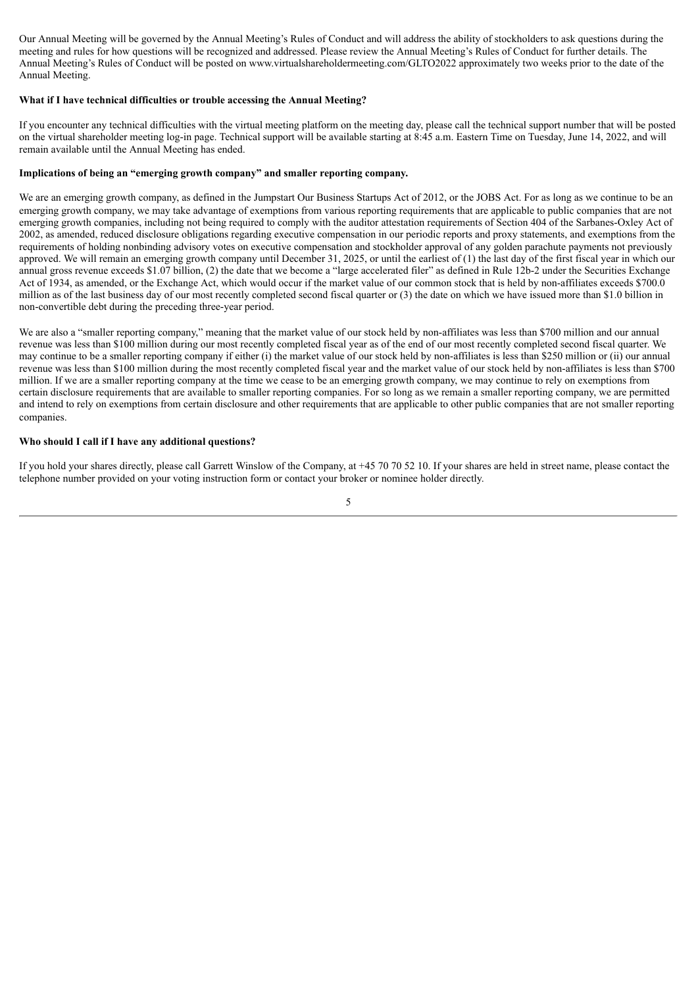Our Annual Meeting will be governed by the Annual Meeting's Rules of Conduct and will address the ability of stockholders to ask questions during the meeting and rules for how questions will be recognized and addressed. Please review the Annual Meeting's Rules of Conduct for further details. The Annual Meeting's Rules of Conduct will be posted on www.virtualshareholdermeeting.com/GLTO2022 approximately two weeks prior to the date of the Annual Meeting.

# **What if I have technical difficulties or trouble accessing the Annual Meeting?**

If you encounter any technical difficulties with the virtual meeting platform on the meeting day, please call the technical support number that will be posted on the virtual shareholder meeting log-in page. Technical support will be available starting at 8:45 a.m. Eastern Time on Tuesday, June 14, 2022, and will remain available until the Annual Meeting has ended.

# **Implications of being an "emerging growth company" and smaller reporting company.**

We are an emerging growth company, as defined in the Jumpstart Our Business Startups Act of 2012, or the JOBS Act. For as long as we continue to be an emerging growth company, we may take advantage of exemptions from various reporting requirements that are applicable to public companies that are not emerging growth companies, including not being required to comply with the auditor attestation requirements of Section 404 of the Sarbanes-Oxley Act of 2002, as amended, reduced disclosure obligations regarding executive compensation in our periodic reports and proxy statements, and exemptions from the requirements of holding nonbinding advisory votes on executive compensation and stockholder approval of any golden parachute payments not previously approved. We will remain an emerging growth company until December 31, 2025, or until the earliest of (1) the last day of the first fiscal year in which our annual gross revenue exceeds \$1.07 billion, (2) the date that we become a "large accelerated filer" as defined in Rule 12b-2 under the Securities Exchange Act of 1934, as amended, or the Exchange Act, which would occur if the market value of our common stock that is held by non-affiliates exceeds \$700.0 million as of the last business day of our most recently completed second fiscal quarter or (3) the date on which we have issued more than \$1.0 billion in non-convertible debt during the preceding three-year period.

We are also a "smaller reporting company," meaning that the market value of our stock held by non-affiliates was less than \$700 million and our annual revenue was less than \$100 million during our most recently completed fiscal year as of the end of our most recently completed second fiscal quarter. We may continue to be a smaller reporting company if either (i) the market value of our stock held by non-affiliates is less than \$250 million or (ii) our annual revenue was less than \$100 million during the most recently completed fiscal year and the market value of our stock held by non-affiliates is less than \$700 million. If we are a smaller reporting company at the time we cease to be an emerging growth company, we may continue to rely on exemptions from certain disclosure requirements that are available to smaller reporting companies. For so long as we remain a smaller reporting company, we are permitted and intend to rely on exemptions from certain disclosure and other requirements that are applicable to other public companies that are not smaller reporting companies.

#### **Who should I call if I have any additional questions?**

If you hold your shares directly, please call Garrett Winslow of the Company, at +45 70 70 52 10. If your shares are held in street name, please contact the telephone number provided on your voting instruction form or contact your broker or nominee holder directly.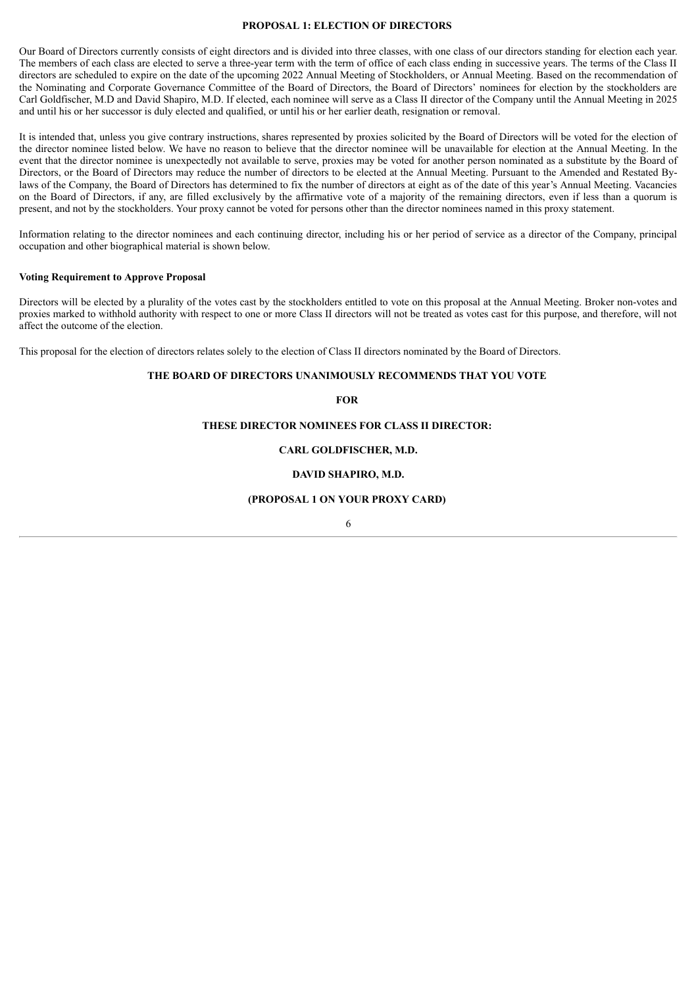#### **PROPOSAL 1: ELECTION OF DIRECTORS**

<span id="page-9-0"></span>Our Board of Directors currently consists of eight directors and is divided into three classes, with one class of our directors standing for election each year. The members of each class are elected to serve a three-year term with the term of office of each class ending in successive years. The terms of the Class II directors are scheduled to expire on the date of the upcoming 2022 Annual Meeting of Stockholders, or Annual Meeting. Based on the recommendation of the Nominating and Corporate Governance Committee of the Board of Directors, the Board of Directors' nominees for election by the stockholders are Carl Goldfischer, M.D and David Shapiro, M.D. If elected, each nominee will serve as a Class II director of the Company until the Annual Meeting in 2025 and until his or her successor is duly elected and qualified, or until his or her earlier death, resignation or removal.

It is intended that, unless you give contrary instructions, shares represented by proxies solicited by the Board of Directors will be voted for the election of the director nominee listed below. We have no reason to believe that the director nominee will be unavailable for election at the Annual Meeting. In the event that the director nominee is unexpectedly not available to serve, proxies may be voted for another person nominated as a substitute by the Board of Directors, or the Board of Directors may reduce the number of directors to be elected at the Annual Meeting. Pursuant to the Amended and Restated Bylaws of the Company, the Board of Directors has determined to fix the number of directors at eight as of the date of this year's Annual Meeting. Vacancies on the Board of Directors, if any, are filled exclusively by the affirmative vote of a majority of the remaining directors, even if less than a quorum is present, and not by the stockholders. Your proxy cannot be voted for persons other than the director nominees named in this proxy statement.

Information relating to the director nominees and each continuing director, including his or her period of service as a director of the Company, principal occupation and other biographical material is shown below.

### **Voting Requirement to Approve Proposal**

Directors will be elected by a plurality of the votes cast by the stockholders entitled to vote on this proposal at the Annual Meeting. Broker non-votes and proxies marked to withhold authority with respect to one or more Class II directors will not be treated as votes cast for this purpose, and therefore, will not affect the outcome of the election.

This proposal for the election of directors relates solely to the election of Class II directors nominated by the Board of Directors.

#### **THE BOARD OF DIRECTORS UNANIMOUSLY RECOMMENDS THAT YOU VOTE**

**FOR**

#### **THESE DIRECTOR NOMINEES FOR CLASS II DIRECTOR:**

**CARL GOLDFISCHER, M.D.**

#### **DAVID SHAPIRO, M.D.**

# **(PROPOSAL 1 ON YOUR PROXY CARD)**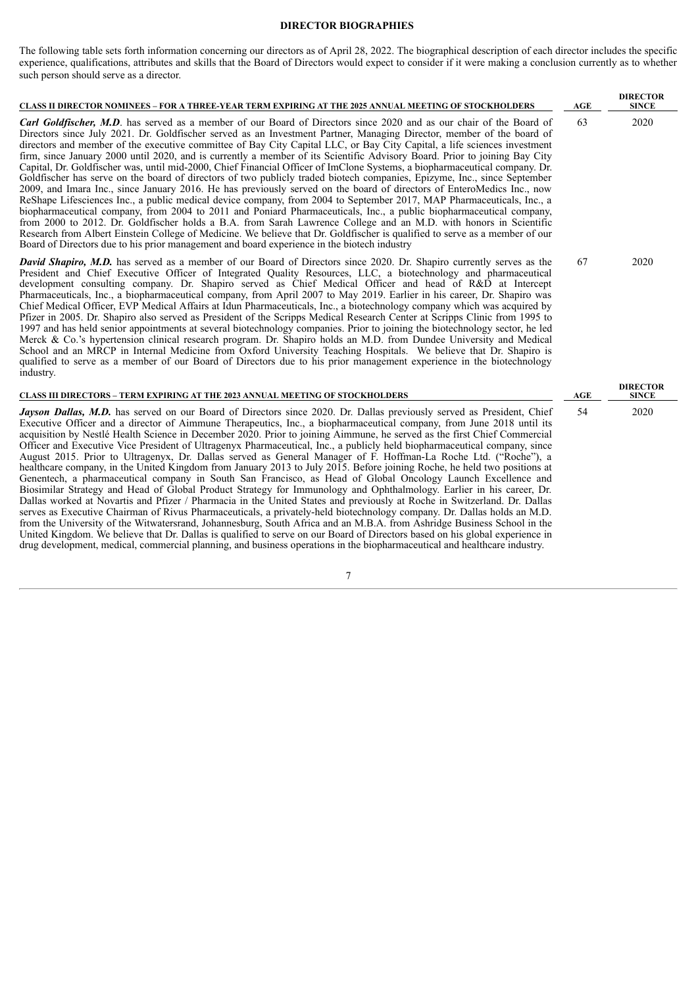# **DIRECTOR BIOGRAPHIES**

<span id="page-10-0"></span>The following table sets forth information concerning our directors as of April 28, 2022. The biographical description of each director includes the specific experience, qualifications, attributes and skills that the Board of Directors would expect to consider if it were making a conclusion currently as to whether such person should serve as a director.

| <b>CLASS II DIRECTOR NOMINEES - FOR A THREE-YEAR TERM EXPIRING AT THE 2025 ANNUAL MEETING OF STOCKHOLDERS</b>                                                                                                                                                                                                                                                                                                                                                                                                                                                                                                                                                                                                                                                                                                                                                                                                                                                                                                                                                                                                                                                                                                                                                                                                                                                                                                                                                                                                                                                                                                                                 | AGE | <b>DIRECTOR</b><br><b>SINCE</b> |
|-----------------------------------------------------------------------------------------------------------------------------------------------------------------------------------------------------------------------------------------------------------------------------------------------------------------------------------------------------------------------------------------------------------------------------------------------------------------------------------------------------------------------------------------------------------------------------------------------------------------------------------------------------------------------------------------------------------------------------------------------------------------------------------------------------------------------------------------------------------------------------------------------------------------------------------------------------------------------------------------------------------------------------------------------------------------------------------------------------------------------------------------------------------------------------------------------------------------------------------------------------------------------------------------------------------------------------------------------------------------------------------------------------------------------------------------------------------------------------------------------------------------------------------------------------------------------------------------------------------------------------------------------|-----|---------------------------------|
| Carl Goldfischer, M.D. has served as a member of our Board of Directors since 2020 and as our chair of the Board of<br>Directors since July 2021. Dr. Goldfischer served as an Investment Partner, Managing Director, member of the board of<br>directors and member of the executive committee of Bay City Capital LLC, or Bay City Capital, a life sciences investment<br>firm, since January 2000 until 2020, and is currently a member of its Scientific Advisory Board. Prior to joining Bay City<br>Capital, Dr. Goldfischer was, until mid-2000, Chief Financial Officer of ImClone Systems, a biopharmaceutical company. Dr.<br>Goldfischer has serve on the board of directors of two publicly traded biotech companies, Epizyme, Inc., since September<br>2009, and Imara Inc., since January 2016. He has previously served on the board of directors of EnteroMedics Inc., now<br>ReShape Lifesciences Inc., a public medical device company, from 2004 to September 2017, MAP Pharmaceuticals, Inc., a<br>biopharmaceutical company, from 2004 to 2011 and Poniard Pharmaceuticals, Inc., a public biopharmaceutical company,<br>from 2000 to 2012. Dr. Goldfischer holds a B.A. from Sarah Lawrence College and an M.D. with honors in Scientific<br>Research from Albert Einstein College of Medicine. We believe that Dr. Goldfischer is qualified to serve as a member of our<br>Board of Directors due to his prior management and board experience in the biotech industry                                                                                                                                                 | 63  | 2020                            |
| <b>David Shapiro, M.D.</b> has served as a member of our Board of Directors since 2020. Dr. Shapiro currently serves as the<br>President and Chief Executive Officer of Integrated Quality Resources, LLC, a biotechnology and pharmaceutical<br>development consulting company. Dr. Shapiro served as Chief Medical Officer and head of R&D at Intercept<br>Pharmaceuticals, Inc., a biopharmaceutical company, from April 2007 to May 2019. Earlier in his career, Dr. Shapiro was<br>Chief Medical Officer, EVP Medical Affairs at Idun Pharmaceuticals, Inc., a biotechnology company which was acquired by<br>Pfizer in 2005. Dr. Shapiro also served as President of the Scripps Medical Research Center at Scripps Clinic from 1995 to<br>1997 and has held senior appointments at several biotechnology companies. Prior to joining the biotechnology sector, he led<br>Merck & Co.'s hypertension clinical research program. Dr. Shapiro holds an M.D. from Dundee University and Medical<br>School and an MRCP in Internal Medicine from Oxford University Teaching Hospitals. We believe that Dr. Shapiro is<br>qualified to serve as a member of our Board of Directors due to his prior management experience in the biotechnology<br>industry.                                                                                                                                                                                                                                                                                                                                                                                  | 67  | 2020                            |
| <b>CLASS III DIRECTORS - TERM EXPIRING AT THE 2023 ANNUAL MEETING OF STOCKHOLDERS</b>                                                                                                                                                                                                                                                                                                                                                                                                                                                                                                                                                                                                                                                                                                                                                                                                                                                                                                                                                                                                                                                                                                                                                                                                                                                                                                                                                                                                                                                                                                                                                         | AGE | <b>DIRECTOR</b><br><b>SINCE</b> |
| Jayson Dallas, M.D. has served on our Board of Directors since 2020. Dr. Dallas previously served as President, Chief<br>Executive Officer and a director of Aimmune Therapeutics, Inc., a biopharmaceutical company, from June 2018 until its<br>acquisition by Nestlé Health Science in December 2020. Prior to joining Aimmune, he served as the first Chief Commercial<br>Officer and Executive Vice President of Ultragenyx Pharmaceutical, Inc., a publicly held biopharmaceutical company, since<br>August 2015. Prior to Ultragenyx, Dr. Dallas served as General Manager of F. Hoffman-La Roche Ltd. ("Roche"), a<br>healthcare company, in the United Kingdom from January 2013 to July 2015. Before joining Roche, he held two positions at<br>Genentech, a pharmaceutical company in South San Francisco, as Head of Global Oncology Launch Excellence and<br>Biosimilar Strategy and Head of Global Product Strategy for Immunology and Ophthalmology. Earlier in his career, Dr.<br>Dallas worked at Novartis and Pfizer / Pharmacia in the United States and previously at Roche in Switzerland. Dr. Dallas<br>serves as Executive Chairman of Rivus Pharmaceuticals, a privately-held biotechnology company. Dr. Dallas holds an M.D.<br>from the University of the Witwatersrand, Johannesburg, South Africa and an M.B.A. from Ashridge Business School in the<br>United Kingdom. We believe that Dr. Dallas is qualified to serve on our Board of Directors based on his global experience in<br>drug development, medical, commercial planning, and business operations in the biopharmaceutical and healthcare industry. | 54  | 2020                            |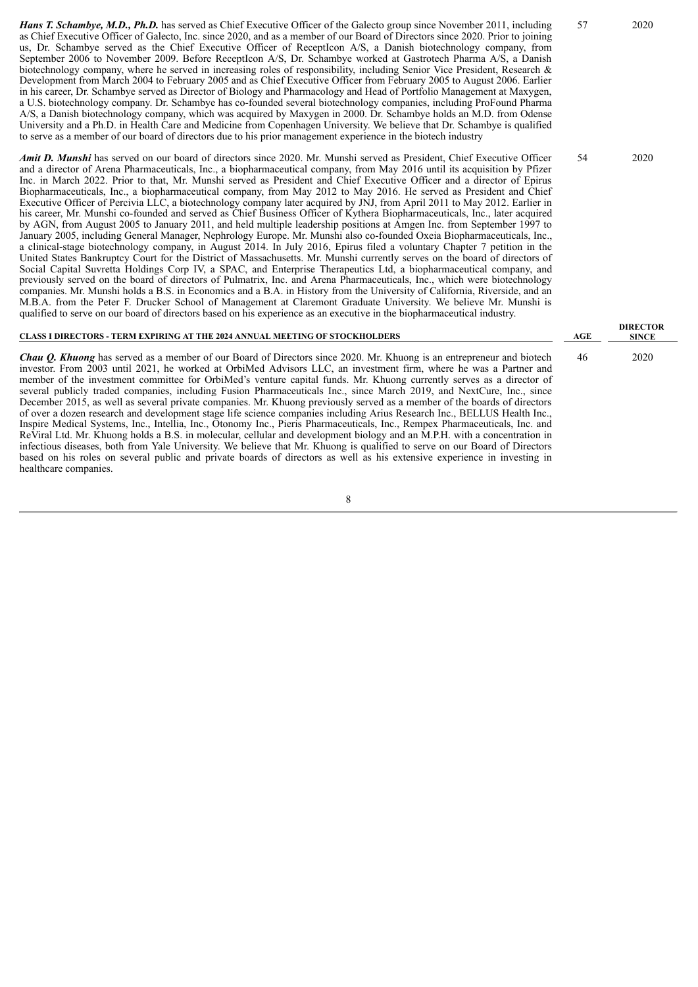*Hans T. Schambye, M.D., Ph.D.* has served as Chief Executive Officer of the Galecto group since November 2011, including as Chief Executive Officer of Galecto, Inc. since 2020, and as a member of our Board of Directors since 2020. Prior to joining us, Dr. Schambye served as the Chief Executive Officer of ReceptIcon A/S, a Danish biotechnology company, from September 2006 to November 2009. Before ReceptIcon A/S, Dr. Schambye worked at Gastrotech Pharma A/S, a Danish biotechnology company, where he served in increasing roles of responsibility, including Senior Vice President, Research & Development from March 2004 to February 2005 and as Chief Executive Officer from February 2005 to August 2006. Earlier in his career, Dr. Schambye served as Director of Biology and Pharmacology and Head of Portfolio Management at Maxygen, a U.S. biotechnology company. Dr. Schambye has co-founded several biotechnology companies, including ProFound Pharma A/S, a Danish biotechnology company, which was acquired by Maxygen in 2000. Dr. Schambye holds an M.D. from Odense University and a Ph.D. in Health Care and Medicine from Copenhagen University. We believe that Dr. Schambye is qualified to serve as a member of our board of directors due to his prior management experience in the biotech industry

*Amit D. Munshi* has served on our board of directors since 2020. Mr. Munshi served as President, Chief Executive Officer and a director of Arena Pharmaceuticals, Inc., a biopharmaceutical company, from May 2016 until its acquisition by Pfizer Inc. in March 2022. Prior to that, Mr. Munshi served as President and Chief Executive Officer and a director of Epirus Biopharmaceuticals, Inc., a biopharmaceutical company, from May 2012 to May 2016. He served as President and Chief Executive Officer of Percivia LLC, a biotechnology company later acquired by JNJ, from April 2011 to May 2012. Earlier in his career, Mr. Munshi co-founded and served as Chief Business Officer of Kythera Biopharmaceuticals, Inc., later acquired by AGN, from August 2005 to January 2011, and held multiple leadership positions at Amgen Inc. from September 1997 to January 2005, including General Manager, Nephrology Europe. Mr. Munshi also co-founded Oxeia Biopharmaceuticals, Inc., a clinical-stage biotechnology company, in August 2014. In July 2016, Epirus filed a voluntary Chapter 7 petition in the United States Bankruptcy Court for the District of Massachusetts. Mr. Munshi currently serves on the board of directors of Social Capital Suvretta Holdings Corp IV, a SPAC, and Enterprise Therapeutics Ltd, a biopharmaceutical company, and previously served on the board of directors of Pulmatrix, Inc. and Arena Pharmaceuticals, Inc., which were biotechnology companies. Mr. Munshi holds a B.S. in Economics and a B.A. in History from the University of California, Riverside, and an M.B.A. from the Peter F. Drucker School of Management at Claremont Graduate University. We believe Mr. Munshi is qualified to serve on our board of directors based on his experience as an executive in the biopharmaceutical industry.

#### **CLASS I DIRECTORS - TERM EXPIRING AT THE 2024 ANNUAL MEETING OF STOCKHOLDERS AGE**

*Chau Q. Khuong* has served as a member of our Board of Directors since 2020. Mr. Khuong is an entrepreneur and biotech investor. From 2003 until 2021, he worked at OrbiMed Advisors LLC, an investment firm, where he was a Partner and member of the investment committee for OrbiMed's venture capital funds. Mr. Khuong currently serves as a director of several publicly traded companies, including Fusion Pharmaceuticals Inc., since March 2019, and NextCure, Inc., since December 2015, as well as several private companies. Mr. Khuong previously served as a member of the boards of directors of over a dozen research and development stage life science companies including Arius Research Inc., BELLUS Health Inc., Inspire Medical Systems, Inc., Intellia, Inc., Otonomy Inc., Pieris Pharmaceuticals, Inc., Rempex Pharmaceuticals, Inc. and ReViral Ltd. Mr. Khuong holds a B.S. in molecular, cellular and development biology and an M.P.H. with a concentration in infectious diseases, both from Yale University. We believe that Mr. Khuong is qualified to serve on our Board of Directors based on his roles on several public and private boards of directors as well as his extensive experience in investing in healthcare companies.

8

# 57 2020

54 2020

**DIRECTOR SINCE**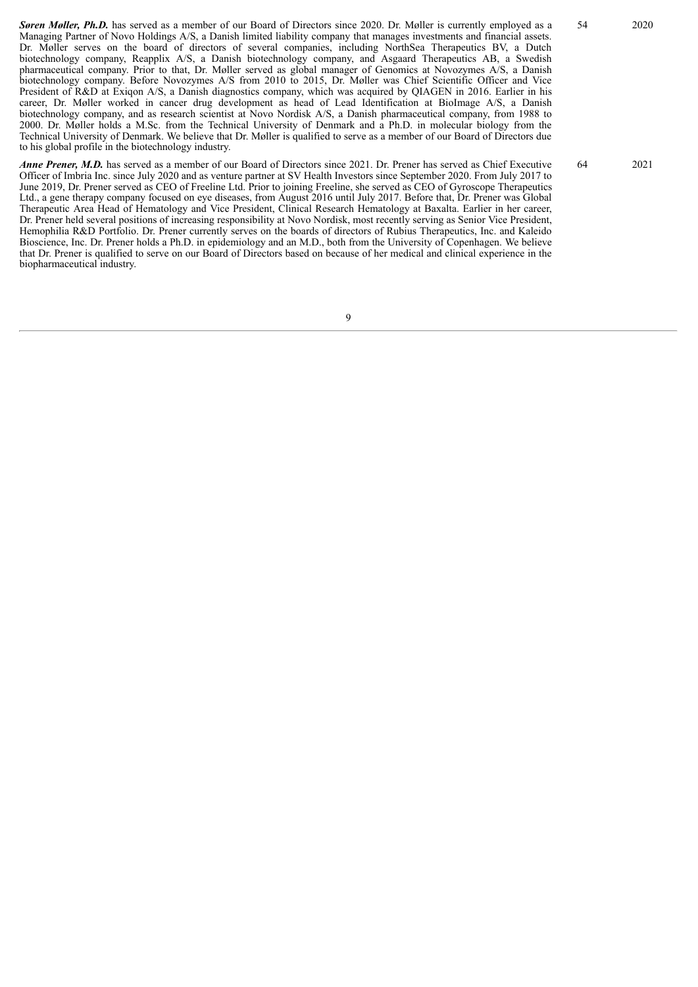*Søren Møller, Ph.D.* has served as a member of our Board of Directors since 2020. Dr. Møller is currently employed as a Managing Partner of Novo Holdings A/S, a Danish limited liability company that manages investments and financial assets. Dr. Møller serves on the board of directors of several companies, including NorthSea Therapeutics BV, a Dutch biotechnology company, Reapplix A/S, a Danish biotechnology company, and Asgaard Therapeutics AB, a Swedish pharmaceutical company. Prior to that, Dr. Møller served as global manager of Genomics at Novozymes A/S, a Danish biotechnology company. Before Novozymes A/S from 2010 to 2015, Dr. Møller was Chief Scientific Officer and Vice President of R&D at Exiqon A/S, a Danish diagnostics company, which was acquired by QIAGEN in 2016. Earlier in his career, Dr. Møller worked in cancer drug development as head of Lead Identification at BioImage A/S, a Danish biotechnology company, and as research scientist at Novo Nordisk A/S, a Danish pharmaceutical company, from 1988 to 2000. Dr. Møller holds a M.Sc. from the Technical University of Denmark and a Ph.D. in molecular biology from the Technical University of Denmark. We believe that Dr. Møller is qualified to serve as a member of our Board of Directors due to his global profile in the biotechnology industry.

*Anne Prener, M.D.* has served as a member of our Board of Directors since 2021. Dr. Prener has served as Chief Executive Officer of Imbria Inc. since July 2020 and as venture partner at SV Health Investors since September 2020. From July 2017 to June 2019, Dr. Prener served as CEO of Freeline Ltd. Prior to joining Freeline, she served as CEO of Gyroscope Therapeutics Ltd., a gene therapy company focused on eye diseases, from August 2016 until July 2017. Before that, Dr. Prener was Global Therapeutic Area Head of Hematology and Vice President, Clinical Research Hematology at Baxalta. Earlier in her career, Dr. Prener held several positions of increasing responsibility at Novo Nordisk, most recently serving as Senior Vice President, Hemophilia R&D Portfolio. Dr. Prener currently serves on the boards of directors of Rubius Therapeutics, Inc. and Kaleido Bioscience, Inc. Dr. Prener holds a Ph.D. in epidemiology and an M.D., both from the University of Copenhagen. We believe that Dr. Prener is qualified to serve on our Board of Directors based on because of her medical and clinical experience in the biopharmaceutical industry.

54 2020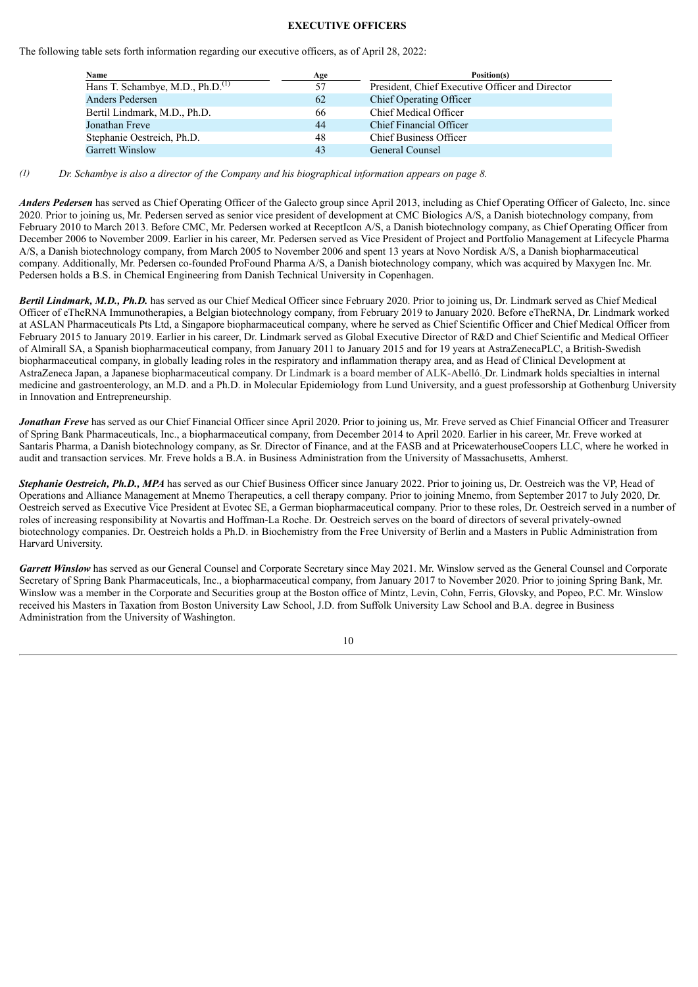#### **EXECUTIVE OFFICERS**

<span id="page-13-0"></span>The following table sets forth information regarding our executive officers, as of April 28, 2022:

| <b>Name</b>                                  | Age | Position(s)                                     |
|----------------------------------------------|-----|-------------------------------------------------|
| Hans T. Schambye, M.D., Ph.D. <sup>(1)</sup> | 57  | President, Chief Executive Officer and Director |
| Anders Pedersen                              | 62  | <b>Chief Operating Officer</b>                  |
| Bertil Lindmark, M.D., Ph.D.                 | 66  | Chief Medical Officer                           |
| Jonathan Freve                               | 44  | Chief Financial Officer                         |
| Stephanie Oestreich, Ph.D.                   | 48  | <b>Chief Business Officer</b>                   |
| <b>Garrett Winslow</b>                       | 43  | General Counsel                                 |

 $(1)$  Dr. Schambye is also a director of the Company and his biographical information appears on page 8.

*Anders Pedersen* has served as Chief Operating Officer of the Galecto group since April 2013, including as Chief Operating Officer of Galecto, Inc. since 2020. Prior to joining us, Mr. Pedersen served as senior vice president of development at CMC Biologics A/S, a Danish biotechnology company, from February 2010 to March 2013. Before CMC, Mr. Pedersen worked at ReceptIcon A/S, a Danish biotechnology company, as Chief Operating Officer from December 2006 to November 2009. Earlier in his career, Mr. Pedersen served as Vice President of Project and Portfolio Management at Lifecycle Pharma A/S, a Danish biotechnology company, from March 2005 to November 2006 and spent 13 years at Novo Nordisk A/S, a Danish biopharmaceutical company. Additionally, Mr. Pedersen co-founded ProFound Pharma A/S, a Danish biotechnology company, which was acquired by Maxygen Inc. Mr. Pedersen holds a B.S. in Chemical Engineering from Danish Technical University in Copenhagen.

*Bertil Lindmark, M.D., Ph.D.* has served as our Chief Medical Officer since February 2020. Prior to joining us, Dr. Lindmark served as Chief Medical Officer of eTheRNA Immunotherapies, a Belgian biotechnology company, from February 2019 to January 2020. Before eTheRNA, Dr. Lindmark worked at ASLAN Pharmaceuticals Pts Ltd, a Singapore biopharmaceutical company, where he served as Chief Scientific Officer and Chief Medical Officer from February 2015 to January 2019. Earlier in his career, Dr. Lindmark served as Global Executive Director of R&D and Chief Scientific and Medical Officer of Almirall SA, a Spanish biopharmaceutical company, from January 2011 to January 2015 and for 19 years at AstraZenecaPLC, a British-Swedish biopharmaceutical company, in globally leading roles in the respiratory and inflammation therapy area, and as Head of Clinical Development at AstraZeneca Japan, a Japanese biopharmaceutical company. Dr Lindmark is a board member of ALK-Abelló. Dr. Lindmark holds specialties in internal medicine and gastroenterology, an M.D. and a Ph.D. in Molecular Epidemiology from Lund University, and a guest professorship at Gothenburg University in Innovation and Entrepreneurship.

*Jonathan Freve* has served as our Chief Financial Officer since April 2020. Prior to joining us, Mr. Freve served as Chief Financial Officer and Treasurer of Spring Bank Pharmaceuticals, Inc., a biopharmaceutical company, from December 2014 to April 2020. Earlier in his career, Mr. Freve worked at Santaris Pharma, a Danish biotechnology company, as Sr. Director of Finance, and at the FASB and at PricewaterhouseCoopers LLC, where he worked in audit and transaction services. Mr. Freve holds a B.A. in Business Administration from the University of Massachusetts, Amherst.

*Stephanie Oestreich, Ph.D., MPA* has served as our Chief Business Officer since January 2022. Prior to joining us, Dr. Oestreich was the VP, Head of Operations and Alliance Management at Mnemo Therapeutics, a cell therapy company. Prior to joining Mnemo, from September 2017 to July 2020, Dr. Oestreich served as Executive Vice President at Evotec SE, a German biopharmaceutical company. Prior to these roles, Dr. Oestreich served in a number of roles of increasing responsibility at Novartis and Hoffman-La Roche. Dr. Oestreich serves on the board of directors of several privately-owned biotechnology companies. Dr. Oestreich holds a Ph.D. in Biochemistry from the Free University of Berlin and a Masters in Public Administration from Harvard University.

*Garrett Winslow* has served as our General Counsel and Corporate Secretary since May 2021. Mr. Winslow served as the General Counsel and Corporate Secretary of Spring Bank Pharmaceuticals, Inc., a biopharmaceutical company, from January 2017 to November 2020. Prior to joining Spring Bank, Mr. Winslow was a member in the Corporate and Securities group at the Boston office of Mintz, Levin, Cohn, Ferris, Glovsky, and Popeo, P.C. Mr. Winslow received his Masters in Taxation from Boston University Law School, J.D. from Suffolk University Law School and B.A. degree in Business Administration from the University of Washington.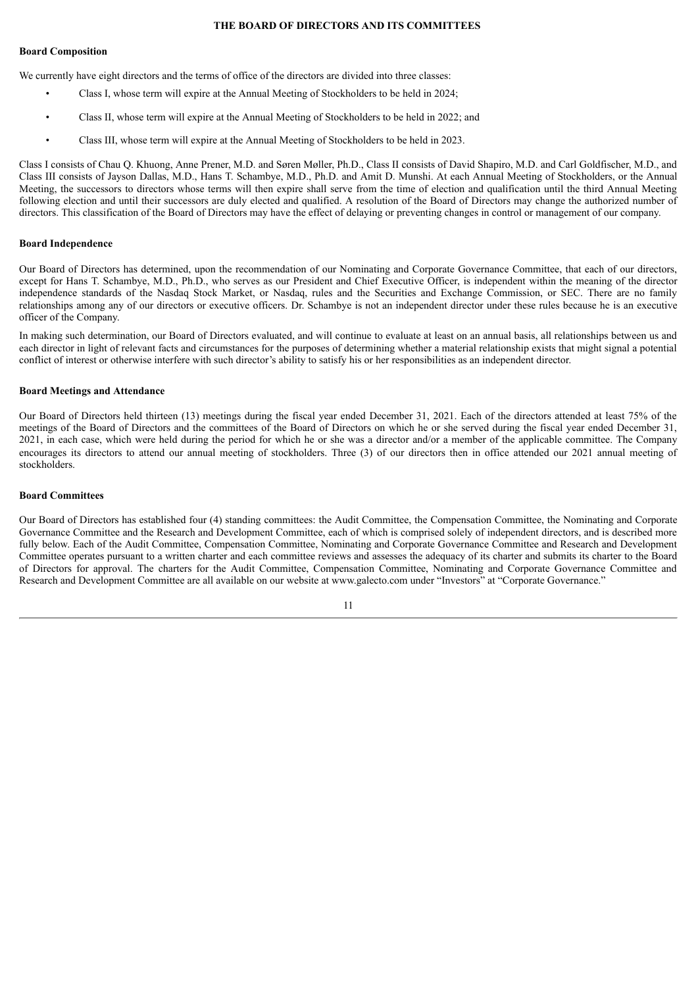#### **THE BOARD OF DIRECTORS AND ITS COMMITTEES**

#### <span id="page-14-0"></span>**Board Composition**

We currently have eight directors and the terms of office of the directors are divided into three classes:

- Class I, whose term will expire at the Annual Meeting of Stockholders to be held in 2024;
- Class II, whose term will expire at the Annual Meeting of Stockholders to be held in 2022; and
- Class III, whose term will expire at the Annual Meeting of Stockholders to be held in 2023.

Class I consists of Chau Q. Khuong, Anne Prener, M.D. and Søren Møller, Ph.D., Class II consists of David Shapiro, M.D. and Carl Goldfischer, M.D., and Class III consists of Jayson Dallas, M.D., Hans T. Schambye, M.D., Ph.D. and Amit D. Munshi. At each Annual Meeting of Stockholders, or the Annual Meeting, the successors to directors whose terms will then expire shall serve from the time of election and qualification until the third Annual Meeting following election and until their successors are duly elected and qualified. A resolution of the Board of Directors may change the authorized number of directors. This classification of the Board of Directors may have the effect of delaying or preventing changes in control or management of our company.

#### **Board Independence**

Our Board of Directors has determined, upon the recommendation of our Nominating and Corporate Governance Committee, that each of our directors, except for Hans T. Schambye, M.D., Ph.D., who serves as our President and Chief Executive Officer, is independent within the meaning of the director independence standards of the Nasdaq Stock Market, or Nasdaq, rules and the Securities and Exchange Commission, or SEC. There are no family relationships among any of our directors or executive officers. Dr. Schambye is not an independent director under these rules because he is an executive officer of the Company.

In making such determination, our Board of Directors evaluated, and will continue to evaluate at least on an annual basis, all relationships between us and each director in light of relevant facts and circumstances for the purposes of determining whether a material relationship exists that might signal a potential conflict of interest or otherwise interfere with such director's ability to satisfy his or her responsibilities as an independent director.

# **Board Meetings and Attendance**

Our Board of Directors held thirteen (13) meetings during the fiscal year ended December 31, 2021. Each of the directors attended at least 75% of the meetings of the Board of Directors and the committees of the Board of Directors on which he or she served during the fiscal year ended December 31, 2021, in each case, which were held during the period for which he or she was a director and/or a member of the applicable committee. The Company encourages its directors to attend our annual meeting of stockholders. Three (3) of our directors then in office attended our 2021 annual meeting of stockholders.

#### **Board Committees**

Our Board of Directors has established four (4) standing committees: the Audit Committee, the Compensation Committee, the Nominating and Corporate Governance Committee and the Research and Development Committee, each of which is comprised solely of independent directors, and is described more fully below. Each of the Audit Committee, Compensation Committee, Nominating and Corporate Governance Committee and Research and Development Committee operates pursuant to a written charter and each committee reviews and assesses the adequacy of its charter and submits its charter to the Board of Directors for approval. The charters for the Audit Committee, Compensation Committee, Nominating and Corporate Governance Committee and Research and Development Committee are all available on our website at www.galecto.com under "Investors" at "Corporate Governance."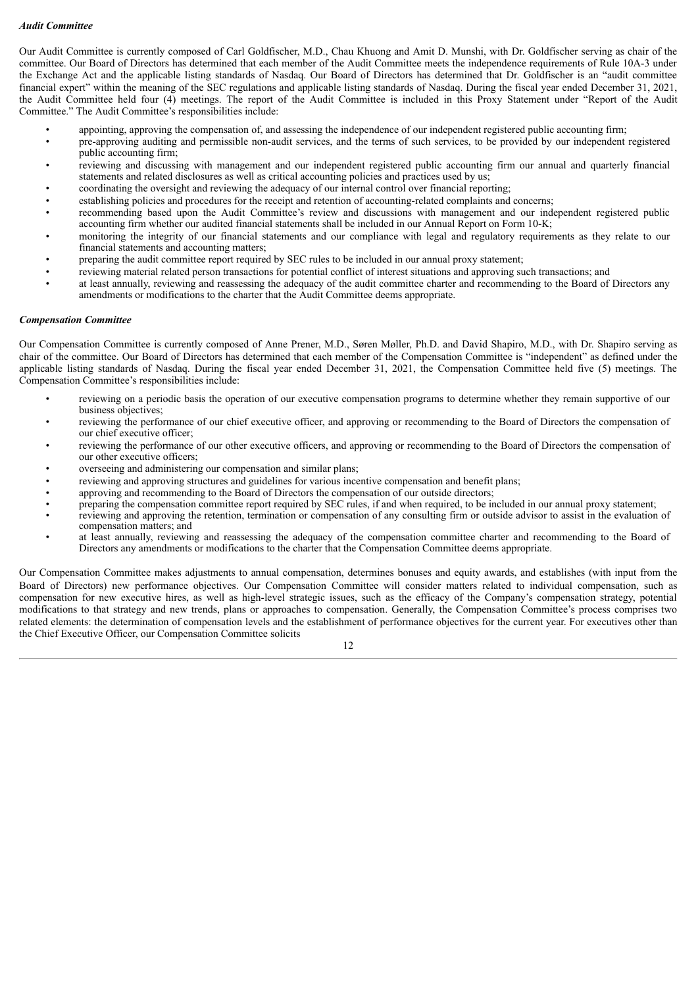## *Audit Committee*

Our Audit Committee is currently composed of Carl Goldfischer, M.D., Chau Khuong and Amit D. Munshi, with Dr. Goldfischer serving as chair of the committee. Our Board of Directors has determined that each member of the Audit Committee meets the independence requirements of Rule 10A-3 under the Exchange Act and the applicable listing standards of Nasdaq. Our Board of Directors has determined that Dr. Goldfischer is an "audit committee financial expert" within the meaning of the SEC regulations and applicable listing standards of Nasdaq. During the fiscal year ended December 31, 2021, the Audit Committee held four (4) meetings. The report of the Audit Committee is included in this Proxy Statement under "Report of the Audit Committee." The Audit Committee's responsibilities include:

- appointing, approving the compensation of, and assessing the independence of our independent registered public accounting firm;<br>• pre-approving auditing and permissible non-audit services, and the terms of such services,
- pre-approving auditing and permissible non-audit services, and the terms of such services, to be provided by our independent registered public accounting firm;
- reviewing and discussing with management and our independent registered public accounting firm our annual and quarterly financial statements and related disclosures as well as critical accounting policies and practices used by us;
- coordinating the oversight and reviewing the adequacy of our internal control over financial reporting;
- establishing policies and procedures for the receipt and retention of accounting-related complaints and concerns;
- recommending based upon the Audit Committee's review and discussions with management and our independent registered public accounting firm whether our audited financial statements shall be included in our Annual Report on Form 10-K;
- monitoring the integrity of our financial statements and our compliance with legal and regulatory requirements as they relate to our financial statements and accounting matters;
- preparing the audit committee report required by SEC rules to be included in our annual proxy statement;
- reviewing material related person transactions for potential conflict of interest situations and approving such transactions; and
- at least annually, reviewing and reassessing the adequacy of the audit committee charter and recommending to the Board of Directors any amendments or modifications to the charter that the Audit Committee deems appropriate.

#### *Compensation Committee*

Our Compensation Committee is currently composed of Anne Prener, M.D., Søren Møller, Ph.D. and David Shapiro, M.D., with Dr. Shapiro serving as chair of the committee. Our Board of Directors has determined that each member of the Compensation Committee is "independent" as defined under the applicable listing standards of Nasdaq. During the fiscal year ended December 31, 2021, the Compensation Committee held five (5) meetings. The Compensation Committee's responsibilities include:

- reviewing on a periodic basis the operation of our executive compensation programs to determine whether they remain supportive of our business objectives;
- reviewing the performance of our chief executive officer, and approving or recommending to the Board of Directors the compensation of our chief executive officer;
- reviewing the performance of our other executive officers, and approving or recommending to the Board of Directors the compensation of our other executive officers;
- overseeing and administering our compensation and similar plans;
- reviewing and approving structures and guidelines for various incentive compensation and benefit plans;
- approving and recommending to the Board of Directors the compensation of our outside directors;
- preparing the compensation committee report required by SEC rules, if and when required, to be included in our annual proxy statement;
- reviewing and approving the retention, termination or compensation of any consulting firm or outside advisor to assist in the evaluation of compensation matters; and
- at least annually, reviewing and reassessing the adequacy of the compensation committee charter and recommending to the Board of Directors any amendments or modifications to the charter that the Compensation Committee deems appropriate.

Our Compensation Committee makes adjustments to annual compensation, determines bonuses and equity awards, and establishes (with input from the Board of Directors) new performance objectives. Our Compensation Committee will consider matters related to individual compensation, such as compensation for new executive hires, as well as high-level strategic issues, such as the efficacy of the Company's compensation strategy, potential modifications to that strategy and new trends, plans or approaches to compensation. Generally, the Compensation Committee's process comprises two related elements: the determination of compensation levels and the establishment of performance objectives for the current year. For executives other than the Chief Executive Officer, our Compensation Committee solicits

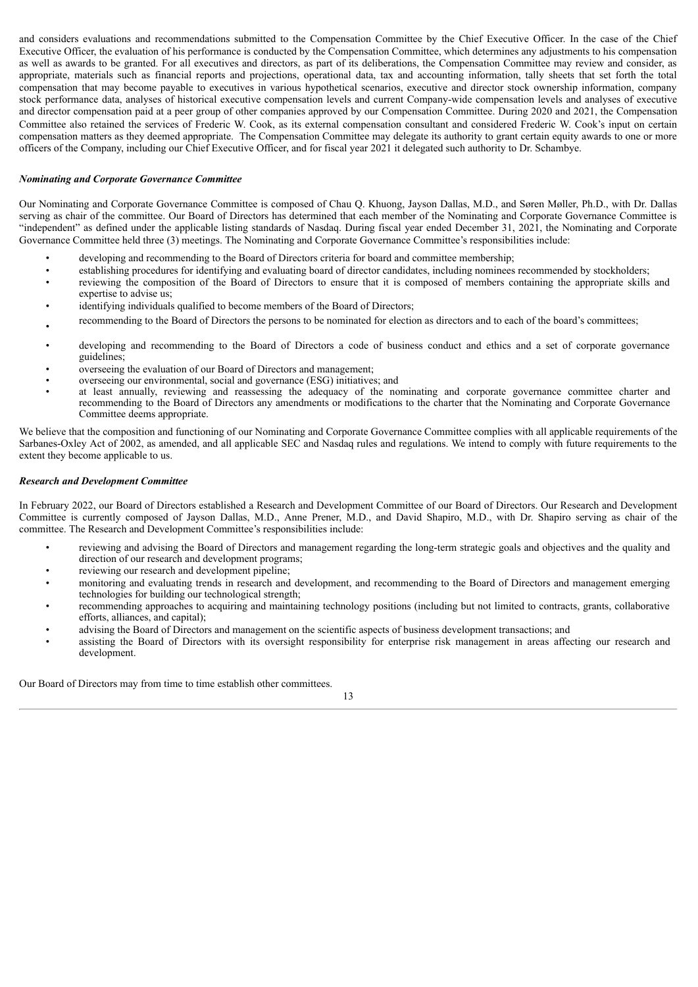and considers evaluations and recommendations submitted to the Compensation Committee by the Chief Executive Officer. In the case of the Chief Executive Officer, the evaluation of his performance is conducted by the Compensation Committee, which determines any adjustments to his compensation as well as awards to be granted. For all executives and directors, as part of its deliberations, the Compensation Committee may review and consider, as appropriate, materials such as financial reports and projections, operational data, tax and accounting information, tally sheets that set forth the total compensation that may become payable to executives in various hypothetical scenarios, executive and director stock ownership information, company stock performance data, analyses of historical executive compensation levels and current Company-wide compensation levels and analyses of executive and director compensation paid at a peer group of other companies approved by our Compensation Committee. During 2020 and 2021, the Compensation Committee also retained the services of Frederic W. Cook, as its external compensation consultant and considered Frederic W. Cook's input on certain compensation matters as they deemed appropriate. The Compensation Committee may delegate its authority to grant certain equity awards to one or more officers of the Company, including our Chief Executive Officer, and for fiscal year 2021 it delegated such authority to Dr. Schambye.

# *Nominating and Corporate Governance Committee*

Our Nominating and Corporate Governance Committee is composed of Chau Q. Khuong, Jayson Dallas, M.D., and Søren Møller, Ph.D., with Dr. Dallas serving as chair of the committee. Our Board of Directors has determined that each member of the Nominating and Corporate Governance Committee is "independent" as defined under the applicable listing standards of Nasdaq. During fiscal year ended December 31, 2021, the Nominating and Corporate Governance Committee held three (3) meetings. The Nominating and Corporate Governance Committee's responsibilities include:

- developing and recommending to the Board of Directors criteria for board and committee membership;
- establishing procedures for identifying and evaluating board of director candidates, including nominees recommended by stockholders;
- reviewing the composition of the Board of Directors to ensure that it is composed of members containing the appropriate skills and expertise to advise us;
- identifying individuals qualified to become members of the Board of Directors;
- recommending to the Board of Directors the persons to be nominated for election as directors and to each of the board's committees;
- developing and recommending to the Board of Directors a code of business conduct and ethics and a set of corporate governance guidelines;
- overseeing the evaluation of our Board of Directors and management;
- overseeing our environmental, social and governance (ESG) initiatives; and
- at least annually, reviewing and reassessing the adequacy of the nominating and corporate governance committee charter and recommending to the Board of Directors any amendments or modifications to the charter that the Nominating and Corporate Governance Committee deems appropriate.

We believe that the composition and functioning of our Nominating and Corporate Governance Committee complies with all applicable requirements of the Sarbanes-Oxley Act of 2002, as amended, and all applicable SEC and Nasdaq rules and regulations. We intend to comply with future requirements to the extent they become applicable to us.

#### *Research and Development Committee*

In February 2022, our Board of Directors established a Research and Development Committee of our Board of Directors. Our Research and Development Committee is currently composed of Jayson Dallas, M.D., Anne Prener, M.D., and David Shapiro, M.D., with Dr. Shapiro serving as chair of the committee. The Research and Development Committee's responsibilities include:

- reviewing and advising the Board of Directors and management regarding the long-term strategic goals and objectives and the quality and direction of our research and development programs;
- reviewing our research and development pipeline;
- monitoring and evaluating trends in research and development, and recommending to the Board of Directors and management emerging technologies for building our technological strength;
- recommending approaches to acquiring and maintaining technology positions (including but not limited to contracts, grants, collaborative efforts, alliances, and capital);
- advising the Board of Directors and management on the scientific aspects of business development transactions; and
- assisting the Board of Directors with its oversight responsibility for enterprise risk management in areas affecting our research and development.

Our Board of Directors may from time to time establish other committees.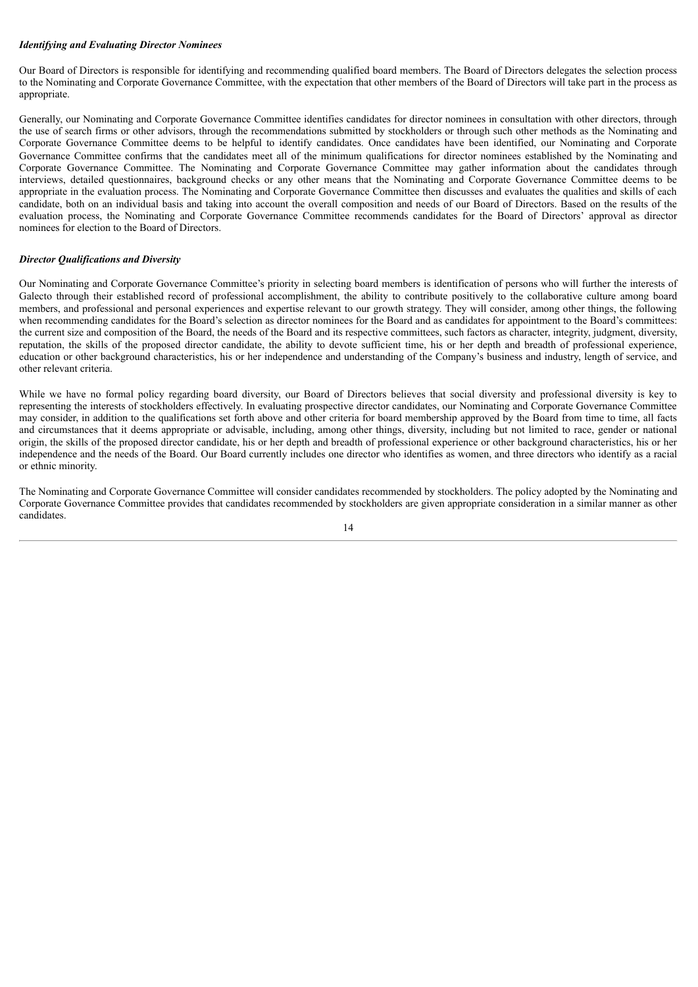#### *Identifying and Evaluating Director Nominees*

Our Board of Directors is responsible for identifying and recommending qualified board members. The Board of Directors delegates the selection process to the Nominating and Corporate Governance Committee, with the expectation that other members of the Board of Directors will take part in the process as appropriate.

Generally, our Nominating and Corporate Governance Committee identifies candidates for director nominees in consultation with other directors, through the use of search firms or other advisors, through the recommendations submitted by stockholders or through such other methods as the Nominating and Corporate Governance Committee deems to be helpful to identify candidates. Once candidates have been identified, our Nominating and Corporate Governance Committee confirms that the candidates meet all of the minimum qualifications for director nominees established by the Nominating and Corporate Governance Committee. The Nominating and Corporate Governance Committee may gather information about the candidates through interviews, detailed questionnaires, background checks or any other means that the Nominating and Corporate Governance Committee deems to be appropriate in the evaluation process. The Nominating and Corporate Governance Committee then discusses and evaluates the qualities and skills of each candidate, both on an individual basis and taking into account the overall composition and needs of our Board of Directors. Based on the results of the evaluation process, the Nominating and Corporate Governance Committee recommends candidates for the Board of Directors' approval as director nominees for election to the Board of Directors.

# *Director Qualifications and Diversity*

Our Nominating and Corporate Governance Committee's priority in selecting board members is identification of persons who will further the interests of Galecto through their established record of professional accomplishment, the ability to contribute positively to the collaborative culture among board members, and professional and personal experiences and expertise relevant to our growth strategy. They will consider, among other things, the following when recommending candidates for the Board's selection as director nominees for the Board and as candidates for appointment to the Board's committees: the current size and composition of the Board, the needs of the Board and its respective committees, such factors as character, integrity, judgment, diversity, reputation, the skills of the proposed director candidate, the ability to devote sufficient time, his or her depth and breadth of professional experience, education or other background characteristics, his or her independence and understanding of the Company's business and industry, length of service, and other relevant criteria.

While we have no formal policy regarding board diversity, our Board of Directors believes that social diversity and professional diversity is key to representing the interests of stockholders effectively. In evaluating prospective director candidates, our Nominating and Corporate Governance Committee may consider, in addition to the qualifications set forth above and other criteria for board membership approved by the Board from time to time, all facts and circumstances that it deems appropriate or advisable, including, among other things, diversity, including but not limited to race, gender or national origin, the skills of the proposed director candidate, his or her depth and breadth of professional experience or other background characteristics, his or her independence and the needs of the Board. Our Board currently includes one director who identifies as women, and three directors who identify as a racial or ethnic minority.

The Nominating and Corporate Governance Committee will consider candidates recommended by stockholders. The policy adopted by the Nominating and Corporate Governance Committee provides that candidates recommended by stockholders are given appropriate consideration in a similar manner as other candidates.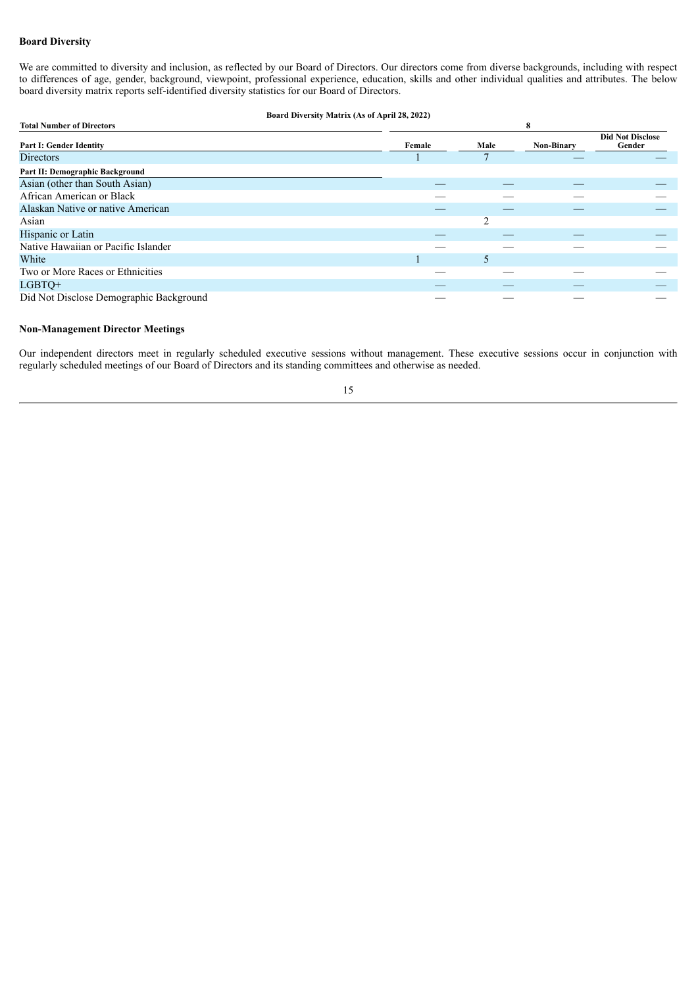# **Board Diversity**

We are committed to diversity and inclusion, as reflected by our Board of Directors. Our directors come from diverse backgrounds, including with respect to differences of age, gender, background, viewpoint, professional experience, education, skills and other individual qualities and attributes. The below board diversity matrix reports self-identified diversity statistics for our Board of Directors.

#### **Board Diversity Matrix (As of April 28, 2022)**

| <b>Total Number of Directors</b>        | 8      |      |                   |                                   |  |
|-----------------------------------------|--------|------|-------------------|-----------------------------------|--|
| <b>Part I: Gender Identity</b>          | Female | Male | <b>Non-Binary</b> | <b>Did Not Disclose</b><br>Gender |  |
| <b>Directors</b>                        |        |      |                   |                                   |  |
| Part II: Demographic Background         |        |      |                   |                                   |  |
| Asian (other than South Asian)          |        |      |                   |                                   |  |
| African American or Black               |        |      |                   |                                   |  |
| Alaskan Native or native American       |        |      |                   |                                   |  |
| Asian                                   |        |      |                   |                                   |  |
| Hispanic or Latin                       |        |      |                   |                                   |  |
| Native Hawaiian or Pacific Islander     |        |      |                   |                                   |  |
| White                                   |        |      |                   |                                   |  |
| Two or More Races or Ethnicities        |        |      |                   |                                   |  |
| LGBTQ+                                  |        |      |                   |                                   |  |
| Did Not Disclose Demographic Background |        |      |                   |                                   |  |

#### **Non-Management Director Meetings**

Our independent directors meet in regularly scheduled executive sessions without management. These executive sessions occur in conjunction with regularly scheduled meetings of our Board of Directors and its standing committees and otherwise as needed.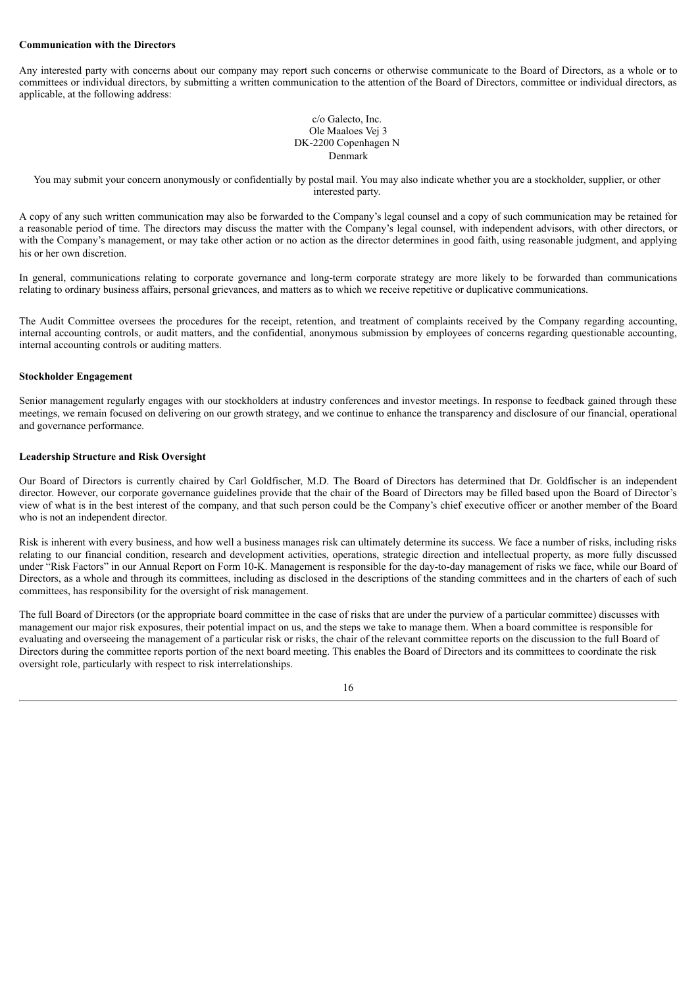#### **Communication with the Directors**

Any interested party with concerns about our company may report such concerns or otherwise communicate to the Board of Directors, as a whole or to committees or individual directors, by submitting a written communication to the attention of the Board of Directors, committee or individual directors, as applicable, at the following address:

#### c/o Galecto, Inc. Ole Maaloes Vej 3 DK-2200 Copenhagen N Denmark

You may submit your concern anonymously or confidentially by postal mail. You may also indicate whether you are a stockholder, supplier, or other interested party.

A copy of any such written communication may also be forwarded to the Company's legal counsel and a copy of such communication may be retained for a reasonable period of time. The directors may discuss the matter with the Company's legal counsel, with independent advisors, with other directors, or with the Company's management, or may take other action or no action as the director determines in good faith, using reasonable judgment, and applying his or her own discretion.

In general, communications relating to corporate governance and long-term corporate strategy are more likely to be forwarded than communications relating to ordinary business affairs, personal grievances, and matters as to which we receive repetitive or duplicative communications.

The Audit Committee oversees the procedures for the receipt, retention, and treatment of complaints received by the Company regarding accounting, internal accounting controls, or audit matters, and the confidential, anonymous submission by employees of concerns regarding questionable accounting, internal accounting controls or auditing matters.

#### **Stockholder Engagement**

Senior management regularly engages with our stockholders at industry conferences and investor meetings. In response to feedback gained through these meetings, we remain focused on delivering on our growth strategy, and we continue to enhance the transparency and disclosure of our financial, operational and governance performance.

#### **Leadership Structure and Risk Oversight**

Our Board of Directors is currently chaired by Carl Goldfischer, M.D. The Board of Directors has determined that Dr. Goldfischer is an independent director. However, our corporate governance guidelines provide that the chair of the Board of Directors may be filled based upon the Board of Director's view of what is in the best interest of the company, and that such person could be the Company's chief executive officer or another member of the Board who is not an independent director.

Risk is inherent with every business, and how well a business manages risk can ultimately determine its success. We face a number of risks, including risks relating to our financial condition, research and development activities, operations, strategic direction and intellectual property, as more fully discussed under "Risk Factors" in our Annual Report on Form 10-K. Management is responsible for the day-to-day management of risks we face, while our Board of Directors, as a whole and through its committees, including as disclosed in the descriptions of the standing committees and in the charters of each of such committees, has responsibility for the oversight of risk management.

The full Board of Directors (or the appropriate board committee in the case of risks that are under the purview of a particular committee) discusses with management our major risk exposures, their potential impact on us, and the steps we take to manage them. When a board committee is responsible for evaluating and overseeing the management of a particular risk or risks, the chair of the relevant committee reports on the discussion to the full Board of Directors during the committee reports portion of the next board meeting. This enables the Board of Directors and its committees to coordinate the risk oversight role, particularly with respect to risk interrelationships.

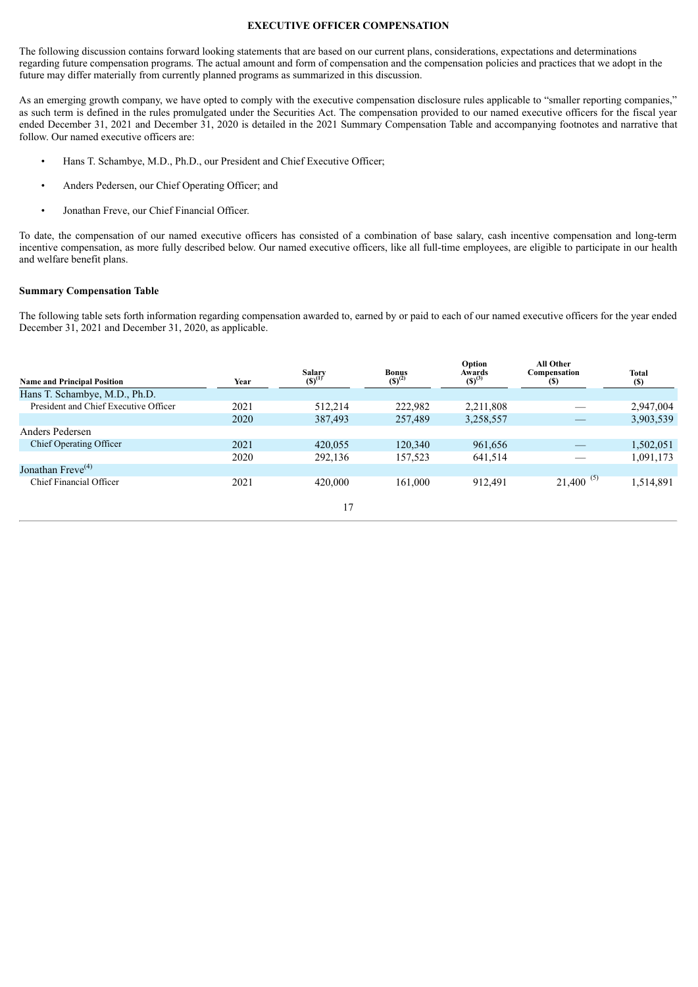#### **EXECUTIVE OFFICER COMPENSATION**

<span id="page-20-0"></span>The following discussion contains forward looking statements that are based on our current plans, considerations, expectations and determinations regarding future compensation programs. The actual amount and form of compensation and the compensation policies and practices that we adopt in the future may differ materially from currently planned programs as summarized in this discussion.

As an emerging growth company, we have opted to comply with the executive compensation disclosure rules applicable to "smaller reporting companies," as such term is defined in the rules promulgated under the Securities Act. The compensation provided to our named executive officers for the fiscal year ended December 31, 2021 and December 31, 2020 is detailed in the 2021 Summary Compensation Table and accompanying footnotes and narrative that follow. Our named executive officers are:

- Hans T. Schambye, M.D., Ph.D., our President and Chief Executive Officer;
- Anders Pedersen, our Chief Operating Officer; and
- Jonathan Freve, our Chief Financial Officer.

To date, the compensation of our named executive officers has consisted of a combination of base salary, cash incentive compensation and long-term incentive compensation, as more fully described below. Our named executive officers, like all full-time employees, are eligible to participate in our health and welfare benefit plans.

#### **Summary Compensation Table**

The following table sets forth information regarding compensation awarded to, earned by or paid to each of our named executive officers for the year ended December 31, 2021 and December 31, 2020, as applicable.

| <b>Name and Principal Position</b>    | Year | Salary<br>$(S)^{(1)}$ | <b>Bonus</b><br>$(S)^{(2)}$ | Option<br>Awards<br>$(S)^{(3)}$ | All Other<br>Compensation<br>(S) | <b>Total</b><br><b>(S)</b> |
|---------------------------------------|------|-----------------------|-----------------------------|---------------------------------|----------------------------------|----------------------------|
| Hans T. Schambye, M.D., Ph.D.         |      |                       |                             |                                 |                                  |                            |
| President and Chief Executive Officer | 2021 | 512,214               | 222,982                     | 2,211,808                       |                                  | 2,947,004                  |
|                                       | 2020 | 387,493               | 257,489                     | 3,258,557                       |                                  | 3,903,539                  |
| Anders Pedersen                       |      |                       |                             |                                 |                                  |                            |
| <b>Chief Operating Officer</b>        | 2021 | 420,055               | 120,340                     | 961,656                         |                                  | 1,502,051                  |
|                                       | 2020 | 292,136               | 157,523                     | 641,514                         |                                  | 1,091,173                  |
| Jonathan Freve <sup>(4)</sup>         |      |                       |                             |                                 |                                  |                            |
| Chief Financial Officer               | 2021 | 420,000               | 161,000                     | 912.491                         | $21,400^{(5)}$                   | 1,514,891                  |
|                                       |      | 17                    |                             |                                 |                                  |                            |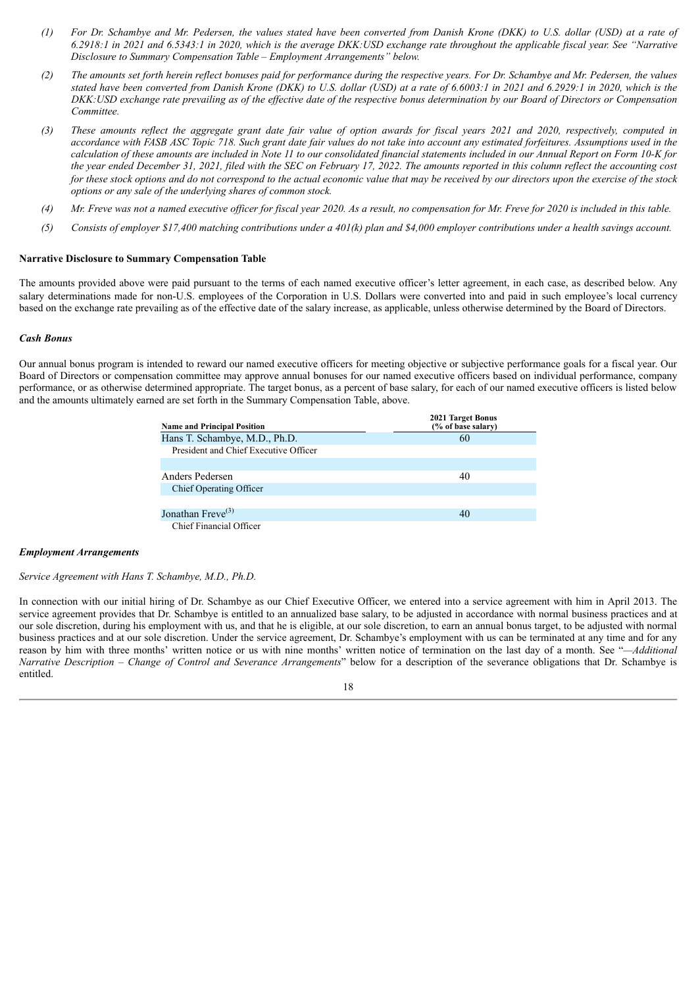- (1) For Dr. Schambye and Mr. Pedersen, the values stated have been converted from Danish Krone (DKK) to U.S. dollar (USD) at a rate of 6.2918:1 in 2021 and 6.5343:1 in 2020, which is the average DKK:USD exchange rate throughout the applicable fiscal year. See "Narrative *Disclosure to Summary Compensation Table – Employment Arrangements" below.*
- (2) The amounts set forth herein reflect bonuses paid for performance during the respective years. For Dr. Schambye and Mr. Pedersen, the values stated have been converted from Danish Krone (DKK) to U.S. dollar (USD) at a rate of 6.6003:1 in 2021 and 6.2929:1 in 2020, which is the DKK: USD exchange rate prevailing as of the effective date of the respective bonus determination by our Board of Directors or Compensation *Committee.*
- (3) These amounts reflect the aggregate grant date fair value of option awards for fiscal years 2021 and 2020, respectively, computed in accordance with FASB ASC Topic 718. Such grant date fair values do not take into account any estimated forfeitures. Assumptions used in the calculation of these amounts are included in Note 11 to our consolidated financial statements included in our Annual Report on Form 10-K for the year ended December 31, 2021, filed with the SEC on February 17, 2022. The amounts reported in this column reflect the accounting cost for these stock options and do not correspond to the actual economic value that may be received by our directors upon the exercise of the stock *options or any sale of the underlying shares of common stock.*
- (4) Mr. Freve was not a named executive officer for fiscal year 2020. As a result, no compensation for Mr. Freve for 2020 is included in this table.
- (5) Consists of employer \$17,400 matching contributions under a 401(k) plan and \$4,000 employer contributions under a health sayings account.

#### **Narrative Disclosure to Summary Compensation Table**

The amounts provided above were paid pursuant to the terms of each named executive officer's letter agreement, in each case, as described below. Any salary determinations made for non-U.S. employees of the Corporation in U.S. Dollars were converted into and paid in such employee's local currency based on the exchange rate prevailing as of the effective date of the salary increase, as applicable, unless otherwise determined by the Board of Directors.

#### *Cash Bonus*

Our annual bonus program is intended to reward our named executive officers for meeting objective or subjective performance goals for a fiscal year. Our Board of Directors or compensation committee may approve annual bonuses for our named executive officers based on individual performance, company performance, or as otherwise determined appropriate. The target bonus, as a percent of base salary, for each of our named executive officers is listed below and the amounts ultimately earned are set forth in the Summary Compensation Table, above.

| <b>Name and Principal Position</b>    | <b>2021 Target Bonus</b><br>(% of base salary) |
|---------------------------------------|------------------------------------------------|
| Hans T. Schambye, M.D., Ph.D.         | 60                                             |
| President and Chief Executive Officer |                                                |
|                                       |                                                |
| Anders Pedersen                       | 40                                             |
| Chief Operating Officer               |                                                |
|                                       |                                                |
| Jonathan Freve <sup>(3)</sup>         | 40                                             |
| Chief Financial Officer               |                                                |

#### *Employment Arrangements*

#### *Service Agreement with Hans T. Schambye, M.D., Ph.D.*

In connection with our initial hiring of Dr. Schambye as our Chief Executive Officer, we entered into a service agreement with him in April 2013. The service agreement provides that Dr. Schambye is entitled to an annualized base salary, to be adjusted in accordance with normal business practices and at our sole discretion, during his employment with us, and that he is eligible, at our sole discretion, to earn an annual bonus target, to be adjusted with normal business practices and at our sole discretion. Under the service agreement, Dr. Schambye's employment with us can be terminated at any time and for any reason by him with three months' written notice or us with nine months' written notice of termination on the last day of a month. See "*—Additional Narrative Description – Change of Control and Severance Arrangements*" below for a description of the severance obligations that Dr. Schambye is entitled.

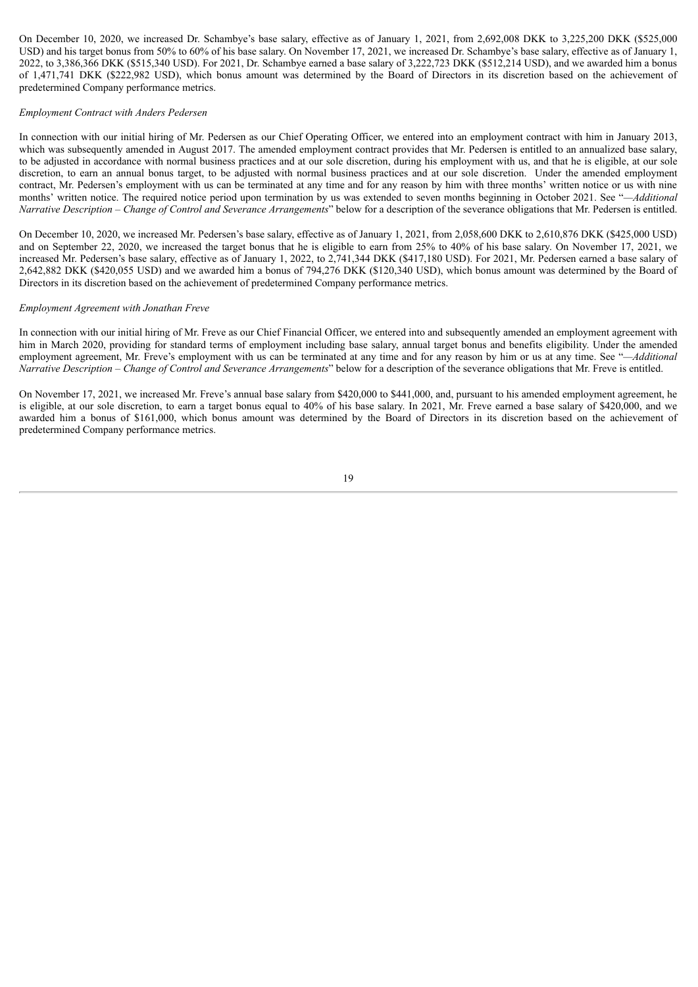On December 10, 2020, we increased Dr. Schambye's base salary, effective as of January 1, 2021, from 2,692,008 DKK to 3,225,200 DKK (\$525,000 USD) and his target bonus from 50% to 60% of his base salary. On November 17, 2021, we increased Dr. Schambye's base salary, effective as of January 1, 2022, to 3,386,366 DKK (\$515,340 USD). For 2021, Dr. Schambye earned a base salary of 3,222,723 DKK (\$512,214 USD), and we awarded him a bonus of 1,471,741 DKK (\$222,982 USD), which bonus amount was determined by the Board of Directors in its discretion based on the achievement of predetermined Company performance metrics.

#### *Employment Contract with Anders Pedersen*

In connection with our initial hiring of Mr. Pedersen as our Chief Operating Officer, we entered into an employment contract with him in January 2013, which was subsequently amended in August 2017. The amended employment contract provides that Mr. Pedersen is entitled to an annualized base salary, to be adjusted in accordance with normal business practices and at our sole discretion, during his employment with us, and that he is eligible, at our sole discretion, to earn an annual bonus target, to be adjusted with normal business practices and at our sole discretion. Under the amended employment contract, Mr. Pedersen's employment with us can be terminated at any time and for any reason by him with three months' written notice or us with nine months' written notice. The required notice period upon termination by us was extended to seven months beginning in October 2021. See "*—Additional Narrative Description – Change of Control and Severance Arrangements*" below for a description of the severance obligations that Mr. Pedersen is entitled.

On December 10, 2020, we increased Mr. Pedersen's base salary, effective as of January 1, 2021, from 2,058,600 DKK to 2,610,876 DKK (\$425,000 USD) and on September 22, 2020, we increased the target bonus that he is eligible to earn from 25% to 40% of his base salary. On November 17, 2021, we increased Mr. Pedersen's base salary, effective as of January 1, 2022, to 2,741,344 DKK (\$417,180 USD). For 2021, Mr. Pedersen earned a base salary of 2,642,882 DKK (\$420,055 USD) and we awarded him a bonus of 794,276 DKK (\$120,340 USD), which bonus amount was determined by the Board of Directors in its discretion based on the achievement of predetermined Company performance metrics.

#### *Employment Agreement with Jonathan Freve*

In connection with our initial hiring of Mr. Freve as our Chief Financial Officer, we entered into and subsequently amended an employment agreement with him in March 2020, providing for standard terms of employment including base salary, annual target bonus and benefits eligibility. Under the amended employment agreement, Mr. Freve's employment with us can be terminated at any time and for any reason by him or us at any time. See "*—Additional Narrative Description – Change of Control and Severance Arrangements*" below for a description of the severance obligations that Mr. Freve is entitled.

On November 17, 2021, we increased Mr. Freve's annual base salary from \$420,000 to \$441,000, and, pursuant to his amended employment agreement, he is eligible, at our sole discretion, to earn a target bonus equal to 40% of his base salary. In 2021, Mr. Freve earned a base salary of \$420,000, and we awarded him a bonus of \$161,000, which bonus amount was determined by the Board of Directors in its discretion based on the achievement of predetermined Company performance metrics.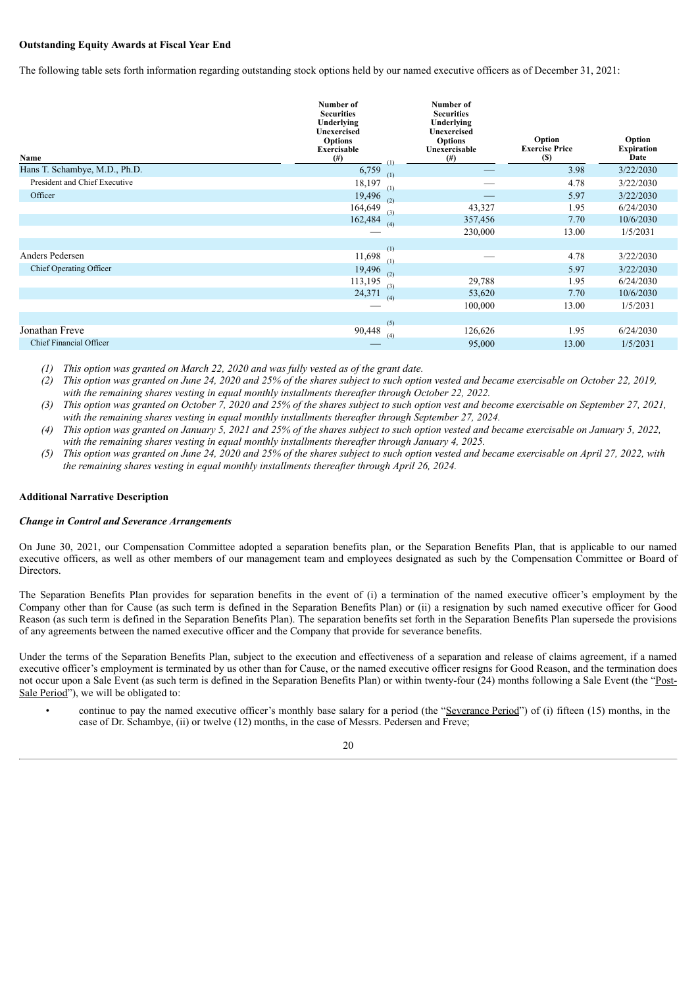# **Outstanding Equity Awards at Fiscal Year End**

The following table sets forth information regarding outstanding stock options held by our named executive officers as of December 31, 2021:

| Name                          | Number of<br><b>Securities</b><br>Underlying<br><b>Unexercised</b><br><b>Options</b><br>Exercisable<br>$^{(#)}$<br>$\left(1\right)$ | Number of<br><b>Securities</b><br>Underlying<br><b>Unexercised</b><br><b>Options</b><br>Unexercisable<br>(#) | Option<br><b>Exercise Price</b><br>(S) | Option<br><b>Expiration</b><br>Date |
|-------------------------------|-------------------------------------------------------------------------------------------------------------------------------------|--------------------------------------------------------------------------------------------------------------|----------------------------------------|-------------------------------------|
| Hans T. Schambye, M.D., Ph.D. | 6,759<br>(1)                                                                                                                        |                                                                                                              | 3.98                                   | 3/22/2030                           |
| President and Chief Executive | 18,197<br>(1)                                                                                                                       |                                                                                                              | 4.78                                   | 3/22/2030                           |
| Officer                       | 19,496<br>(2)                                                                                                                       |                                                                                                              | 5.97                                   | 3/22/2030                           |
|                               | 164,649<br>(3)                                                                                                                      | 43,327                                                                                                       | 1.95                                   | 6/24/2030                           |
|                               | 162,484<br>(4)                                                                                                                      | 357,456                                                                                                      | 7.70                                   | 10/6/2030                           |
|                               |                                                                                                                                     | 230,000                                                                                                      | 13.00                                  | 1/5/2031                            |
|                               | (1)                                                                                                                                 |                                                                                                              |                                        |                                     |
| Anders Pedersen               | 11,698<br>(1)                                                                                                                       |                                                                                                              | 4.78                                   | 3/22/2030                           |
| Chief Operating Officer       | 19,496<br>(2)                                                                                                                       |                                                                                                              | 5.97                                   | 3/22/2030                           |
|                               | 113,195<br>(3)                                                                                                                      | 29,788                                                                                                       | 1.95                                   | 6/24/2030                           |
|                               | 24,371<br>(4)                                                                                                                       | 53,620                                                                                                       | 7.70                                   | 10/6/2030                           |
|                               |                                                                                                                                     | 100,000                                                                                                      | 13.00                                  | 1/5/2031                            |
|                               | (5)                                                                                                                                 |                                                                                                              |                                        |                                     |
| Jonathan Freve                | 90,448<br>(4)                                                                                                                       | 126,626                                                                                                      | 1.95                                   | 6/24/2030                           |
| Chief Financial Officer       |                                                                                                                                     | 95,000                                                                                                       | 13.00                                  | 1/5/2031                            |
|                               |                                                                                                                                     |                                                                                                              |                                        |                                     |

*(1) This option was granted on March 22, 2020 and was fully vested as of the grant date.*

(2) This option was granted on June 24, 2020 and 25% of the shares subject to such option vested and became exercisable on October 22, 2019, *with the remaining shares vesting in equal monthly installments thereafter through October 22, 2022.*

- (3) This option was granted on October 7, 2020 and 25% of the shares subject to such option vest and become exercisable on September 27, 2021, *with the remaining shares vesting in equal monthly installments thereafter through September 27, 2024.*
- (4) This option was granted on January 5, 2021 and 25% of the shares subject to such option vested and became exercisable on January 5, 2022, *with the remaining shares vesting in equal monthly installments thereafter through January 4, 2025.*
- (5) This option was granted on June 24, 2020 and 25% of the shares subject to such option vested and became exercisable on April 27, 2022, with *the remaining shares vesting in equal monthly installments thereafter through April 26, 2024.*

# **Additional Narrative Description**

#### *Change in Control and Severance Arrangements*

On June 30, 2021, our Compensation Committee adopted a separation benefits plan, or the Separation Benefits Plan, that is applicable to our named executive officers, as well as other members of our management team and employees designated as such by the Compensation Committee or Board of Directors.

The Separation Benefits Plan provides for separation benefits in the event of (i) a termination of the named executive officer's employment by the Company other than for Cause (as such term is defined in the Separation Benefits Plan) or (ii) a resignation by such named executive officer for Good Reason (as such term is defined in the Separation Benefits Plan). The separation benefits set forth in the Separation Benefits Plan supersede the provisions of any agreements between the named executive officer and the Company that provide for severance benefits.

Under the terms of the Separation Benefits Plan, subject to the execution and effectiveness of a separation and release of claims agreement, if a named executive officer's employment is terminated by us other than for Cause, or the named executive officer resigns for Good Reason, and the termination does not occur upon a Sale Event (as such term is defined in the Separation Benefits Plan) or within twenty-four (24) months following a Sale Event (the "Post-Sale Period"), we will be obligated to:

• continue to pay the named executive officer's monthly base salary for a period (the "Severance Period") of (i) fifteen (15) months, in the case of Dr. Schambye, (ii) or twelve (12) months, in the case of Messrs. Pedersen and Freve;

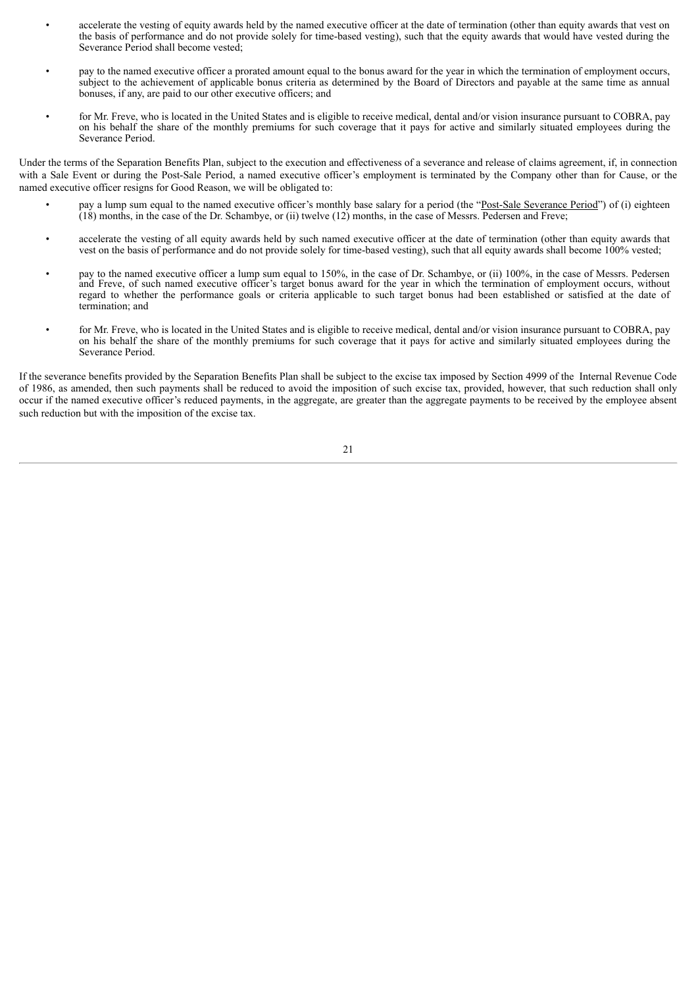- accelerate the vesting of equity awards held by the named executive officer at the date of termination (other than equity awards that vest on the basis of performance and do not provide solely for time-based vesting), such that the equity awards that would have vested during the Severance Period shall become vested;
- pay to the named executive officer a prorated amount equal to the bonus award for the year in which the termination of employment occurs, subject to the achievement of applicable bonus criteria as determined by the Board of Directors and payable at the same time as annual bonuses, if any, are paid to our other executive officers; and
- for Mr. Freve, who is located in the United States and is eligible to receive medical, dental and/or vision insurance pursuant to COBRA, pay on his behalf the share of the monthly premiums for such coverage that it pays for active and similarly situated employees during the Severance Period.

Under the terms of the Separation Benefits Plan, subject to the execution and effectiveness of a severance and release of claims agreement, if, in connection with a Sale Event or during the Post-Sale Period, a named executive officer's employment is terminated by the Company other than for Cause, or the named executive officer resigns for Good Reason, we will be obligated to:

- pay a lump sum equal to the named executive officer's monthly base salary for a period (the "Post-Sale Severance Period") of (i) eighteen (18) months, in the case of the Dr. Schambye, or (ii) twelve (12) months, in the case of Messrs. Pedersen and Freve;
- accelerate the vesting of all equity awards held by such named executive officer at the date of termination (other than equity awards that vest on the basis of performance and do not provide solely for time-based vesting), such that all equity awards shall become 100% vested;
- pay to the named executive officer a lump sum equal to 150%, in the case of Dr. Schambye, or (ii) 100%, in the case of Messrs. Pedersen and Freve, of such named executive officer's target bonus award for the year in which the termination of employment occurs, without regard to whether the performance goals or criteria applicable to such target bonus had been established or satisfied at the date of termination; and
- for Mr. Freve, who is located in the United States and is eligible to receive medical, dental and/or vision insurance pursuant to COBRA, pay on his behalf the share of the monthly premiums for such coverage that it pays for active and similarly situated employees during the Severance Period.

If the severance benefits provided by the Separation Benefits Plan shall be subject to the excise tax imposed by Section 4999 of the Internal Revenue Code of 1986, as amended, then such payments shall be reduced to avoid the imposition of such excise tax, provided, however, that such reduction shall only occur if the named executive officer's reduced payments, in the aggregate, are greater than the aggregate payments to be received by the employee absent such reduction but with the imposition of the excise tax.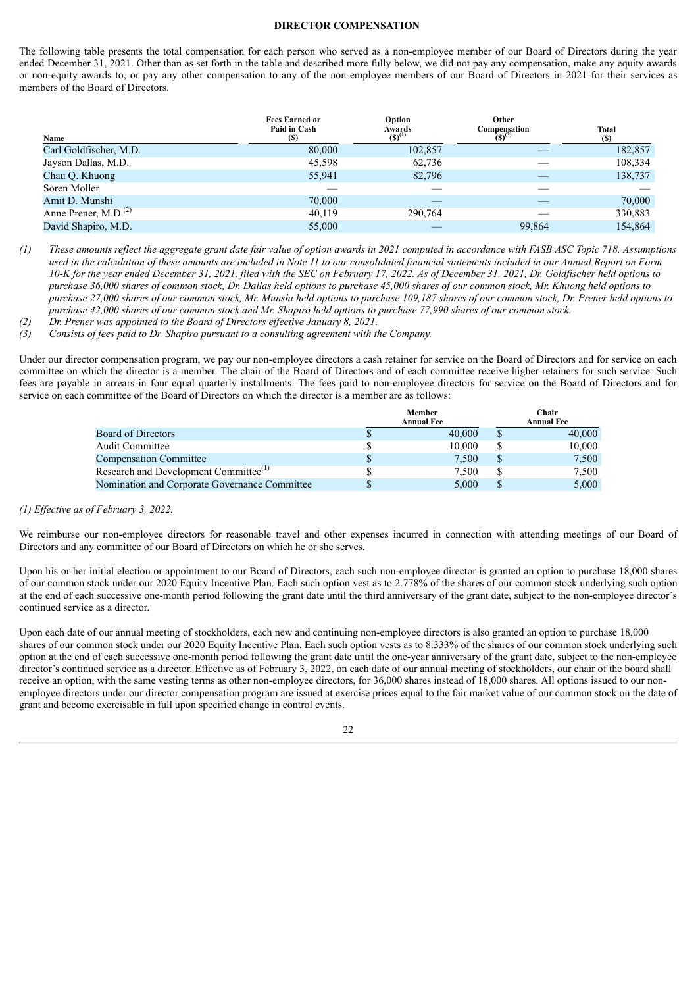#### **DIRECTOR COMPENSATION**

<span id="page-25-0"></span>The following table presents the total compensation for each person who served as a non-employee member of our Board of Directors during the year ended December 31, 2021. Other than as set forth in the table and described more fully below, we did not pay any compensation, make any equity awards or non-equity awards to, or pay any other compensation to any of the non-employee members of our Board of Directors in 2021 for their services as members of the Board of Directors.

| Name                   | <b>Fees Earned or</b><br>Paid in Cash<br>(S) | Option<br>Awards<br>(\$) <sup>(1)</sup> | Other<br>Compensation<br>$(5)^{(3)}$ | <b>Total</b><br><b>(S)</b> |
|------------------------|----------------------------------------------|-----------------------------------------|--------------------------------------|----------------------------|
| Carl Goldfischer, M.D. | 80,000                                       | 102,857                                 |                                      | 182,857                    |
| Jayson Dallas, M.D.    | 45,598                                       | 62,736                                  |                                      | 108,334                    |
| Chau Q. Khuong         | 55,941                                       | 82,796                                  |                                      | 138,737                    |
| Soren Moller           |                                              |                                         |                                      |                            |
| Amit D. Munshi         | 70,000                                       |                                         |                                      | 70,000                     |
| Anne Prener, $M.D.(2)$ | 40,119                                       | 290,764                                 |                                      | 330,883                    |
| David Shapiro, M.D.    | 55,000                                       |                                         | 99,864                               | 154,864                    |

(1) These amounts reflect the aggregate grant date fair value of option awards in 2021 computed in accordance with FASB ASC Topic 718. Assumptions used in the calculation of these amounts are included in Note 11 to our consolidated financial statements included in our Annual Report on Form 10-K for the year ended December 31, 2021, filed with the SEC on February 17, 2022. As of December 31, 2021, Dr. Goldfischer held options to purchase 36,000 shares of common stock, Dr. Dallas held options to purchase 45,000 shares of our common stock, Mr. Khuong held options to purchase 27,000 shares of our common stock, Mr. Munshi held options to purchase 109,187 shares of our common stock, Dr. Prener held options to purchase 42,000 shares of our common stock and Mr. Shapiro held options to purchase 77,990 shares of our common stock.

*(2) Dr. Prener was appointed to the Board of Directors ef ective January 8, 2021.*

*(3) Consists of fees paid to Dr. Shapiro pursuant to a consulting agreement with the Company.*

Under our director compensation program, we pay our non-employee directors a cash retainer for service on the Board of Directors and for service on each committee on which the director is a member. The chair of the Board of Directors and of each committee receive higher retainers for such service. Such fees are payable in arrears in four equal quarterly installments. The fees paid to non-employee directors for service on the Board of Directors and for service on each committee of the Board of Directors on which the director is a member are as follows:

|                                                   | Member<br><b>Annual Fee</b> |    | Chair<br><b>Annual Fee</b> |
|---------------------------------------------------|-----------------------------|----|----------------------------|
| <b>Board of Directors</b>                         | 40,000                      |    | 40,000                     |
| <b>Audit Committee</b>                            | 10.000                      |    | 10,000                     |
| <b>Compensation Committee</b>                     | \$<br>7,500                 | \$ | 7,500                      |
| Research and Development Committee <sup>(1)</sup> | 7.500                       | S  | 7,500                      |
| Nomination and Corporate Governance Committee     | 5.000                       |    | 5,000                      |

#### *(1) Ef ective as of February 3, 2022.*

We reimburse our non-employee directors for reasonable travel and other expenses incurred in connection with attending meetings of our Board of Directors and any committee of our Board of Directors on which he or she serves.

Upon his or her initial election or appointment to our Board of Directors, each such non-employee director is granted an option to purchase 18,000 shares of our common stock under our 2020 Equity Incentive Plan. Each such option vest as to 2.778% of the shares of our common stock underlying such option at the end of each successive one-month period following the grant date until the third anniversary of the grant date, subject to the non-employee director's continued service as a director.

Upon each date of our annual meeting of stockholders, each new and continuing non-employee directors is also granted an option to purchase 18,000 shares of our common stock under our 2020 Equity Incentive Plan. Each such option vests as to 8.333% of the shares of our common stock underlying such option at the end of each successive one-month period following the grant date until the one-year anniversary of the grant date, subject to the non-employee director's continued service as a director. Effective as of February 3, 2022, on each date of our annual meeting of stockholders, our chair of the board shall receive an option, with the same vesting terms as other non-employee directors, for 36,000 shares instead of 18,000 shares. All options issued to our nonemployee directors under our director compensation program are issued at exercise prices equal to the fair market value of our common stock on the date of grant and become exercisable in full upon specified change in control events.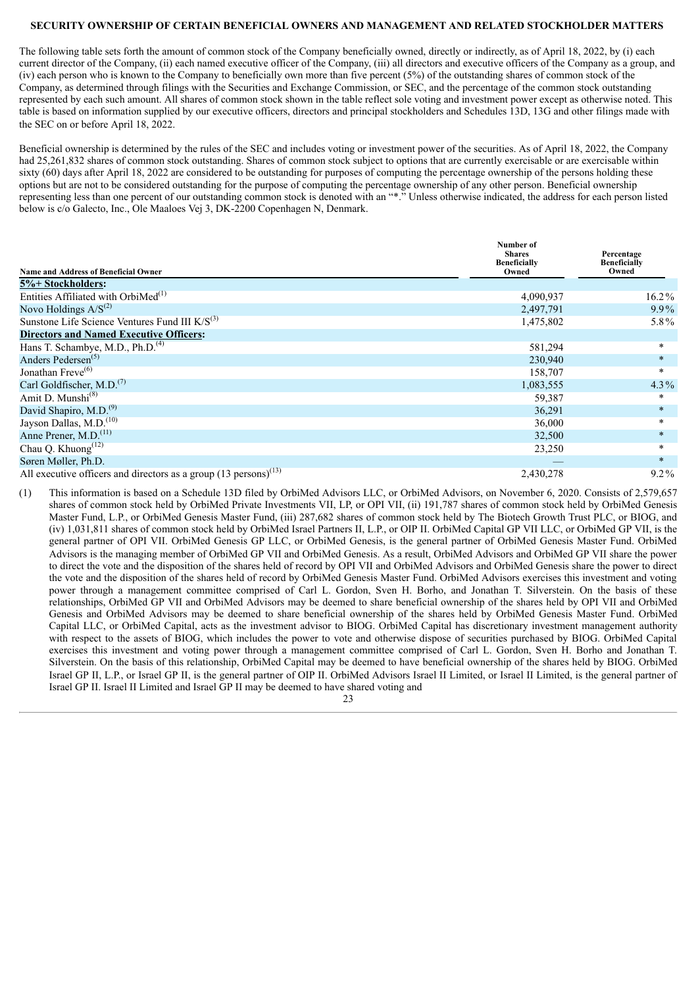## <span id="page-26-0"></span>**SECURITY OWNERSHIP OF CERTAIN BENEFICIAL OWNERS AND MANAGEMENT AND RELATED STOCKHOLDER MATTERS**

The following table sets forth the amount of common stock of the Company beneficially owned, directly or indirectly, as of April 18, 2022, by (i) each current director of the Company, (ii) each named executive officer of the Company, (iii) all directors and executive officers of the Company as a group, and (iv) each person who is known to the Company to beneficially own more than five percent (5%) of the outstanding shares of common stock of the Company, as determined through filings with the Securities and Exchange Commission, or SEC, and the percentage of the common stock outstanding represented by each such amount. All shares of common stock shown in the table reflect sole voting and investment power except as otherwise noted. This table is based on information supplied by our executive officers, directors and principal stockholders and Schedules 13D, 13G and other filings made with the SEC on or before April 18, 2022.

Beneficial ownership is determined by the rules of the SEC and includes voting or investment power of the securities. As of April 18, 2022, the Company had 25,261,832 shares of common stock outstanding. Shares of common stock subject to options that are currently exercisable or are exercisable within sixty (60) days after April 18, 2022 are considered to be outstanding for purposes of computing the percentage ownership of the persons holding these options but are not to be considered outstanding for the purpose of computing the percentage ownership of any other person. Beneficial ownership representing less than one percent of our outstanding common stock is denoted with an "\*." Unless otherwise indicated, the address for each person listed below is c/o Galecto, Inc., Ole Maaloes Vej 3, DK-2200 Copenhagen N, Denmark.

| <b>Name and Address of Beneficial Owner</b>                                   | Number of<br><b>Shares</b><br><b>Beneficially</b><br>Owned | Percentage<br><b>Beneficially</b><br>Owned |
|-------------------------------------------------------------------------------|------------------------------------------------------------|--------------------------------------------|
| 5%+ Stockholders:                                                             |                                                            |                                            |
| Entities Affiliated with OrbiMed <sup>(1)</sup>                               | 4,090,937                                                  | $16.2\%$                                   |
| Novo Holdings $A/S^{(2)}$                                                     | 2,497,791                                                  | $9.9\%$                                    |
| Sunstone Life Science Ventures Fund III $K/S^{(3)}$                           | 1,475,802                                                  | 5.8%                                       |
| <b>Directors and Named Executive Officers:</b>                                |                                                            |                                            |
| Hans T. Schambye, M.D., Ph.D. <sup>(4)</sup>                                  | 581,294                                                    | $\ast$                                     |
| Anders Pedersen <sup>(5)</sup>                                                | 230,940                                                    | $\ast$                                     |
| Jonathan Freve <sup>(6)</sup>                                                 | 158,707                                                    | $\ast$                                     |
| Carl Goldfischer, M.D. <sup>(7)</sup>                                         | 1,083,555                                                  | $4.3\%$                                    |
| Amit D. Munshi <sup>(8)</sup>                                                 | 59,387                                                     | $\star$                                    |
| David Shapiro, M.D. <sup>(9)</sup>                                            | 36,291                                                     | $\ast$                                     |
| Jayson Dallas, M.D. <sup>(10)</sup>                                           | 36,000                                                     | $\ast$                                     |
| Anne Prener, M.D. <sup>(11)</sup>                                             | 32,500                                                     | $\ast$                                     |
| Chau Q. Khuong <sup>(12)</sup>                                                | 23,250                                                     | $\ast$                                     |
| Søren Møller, Ph.D.                                                           |                                                            | $\ast$                                     |
| All executive officers and directors as a group $(13 \text{ persons})^{(13)}$ | 2,430,278                                                  | $9.2\%$                                    |

(1) This information is based on a Schedule 13D filed by OrbiMed Advisors LLC, or OrbiMed Advisors, on November 6, 2020. Consists of 2,579,657 shares of common stock held by OrbiMed Private Investments VII, LP, or OPI VII, (ii) 191,787 shares of common stock held by OrbiMed Genesis Master Fund, L.P., or OrbiMed Genesis Master Fund, (iii) 287,682 shares of common stock held by The Biotech Growth Trust PLC, or BIOG, and (iv) 1,031,811 shares of common stock held by OrbiMed Israel Partners II, L.P., or OIP II. OrbiMed Capital GP VII LLC, or OrbiMed GP VII, is the general partner of OPI VII. OrbiMed Genesis GP LLC, or OrbiMed Genesis, is the general partner of OrbiMed Genesis Master Fund. OrbiMed Advisors is the managing member of OrbiMed GP VII and OrbiMed Genesis. As a result, OrbiMed Advisors and OrbiMed GP VII share the power to direct the vote and the disposition of the shares held of record by OPI VII and OrbiMed Advisors and OrbiMed Genesis share the power to direct the vote and the disposition of the shares held of record by OrbiMed Genesis Master Fund. OrbiMed Advisors exercises this investment and voting power through a management committee comprised of Carl L. Gordon, Sven H. Borho, and Jonathan T. Silverstein. On the basis of these relationships, OrbiMed GP VII and OrbiMed Advisors may be deemed to share beneficial ownership of the shares held by OPI VII and OrbiMed Genesis and OrbiMed Advisors may be deemed to share beneficial ownership of the shares held by OrbiMed Genesis Master Fund. OrbiMed Capital LLC, or OrbiMed Capital, acts as the investment advisor to BIOG. OrbiMed Capital has discretionary investment management authority with respect to the assets of BIOG, which includes the power to vote and otherwise dispose of securities purchased by BIOG. OrbiMed Capital exercises this investment and voting power through a management committee comprised of Carl L. Gordon, Sven H. Borho and Jonathan T. Silverstein. On the basis of this relationship, OrbiMed Capital may be deemed to have beneficial ownership of the shares held by BIOG. OrbiMed Israel GP II, L.P., or Israel GP II, is the general partner of OIP II. OrbiMed Advisors Israel II Limited, or Israel II Limited, is the general partner of Israel GP II. Israel II Limited and Israel GP II may be deemed to have shared voting and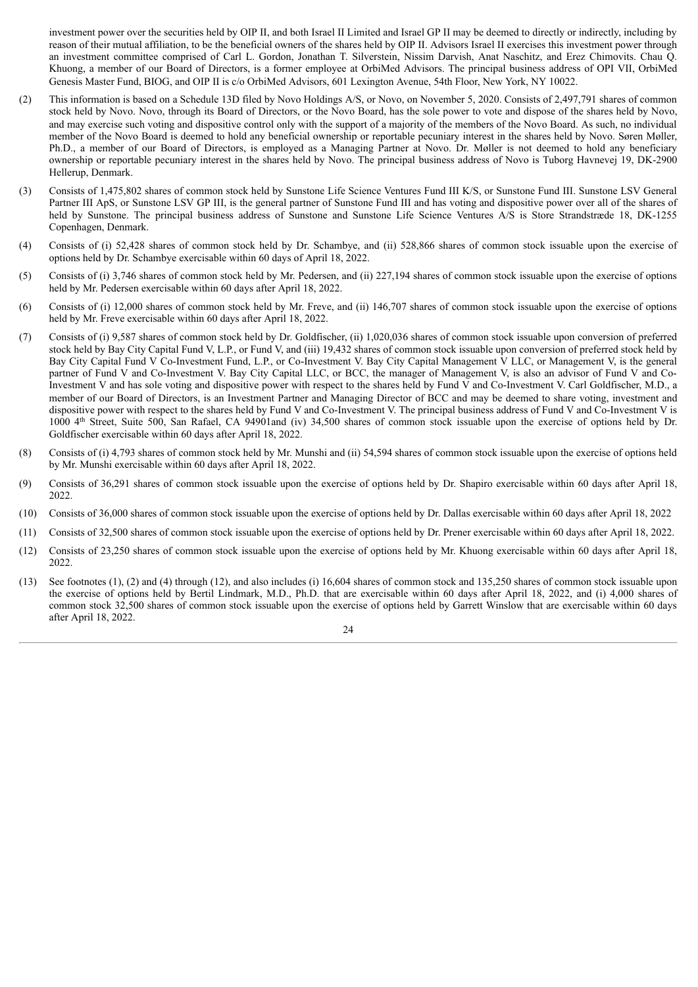investment power over the securities held by OIP II, and both Israel II Limited and Israel GP II may be deemed to directly or indirectly, including by reason of their mutual affiliation, to be the beneficial owners of the shares held by OIP II. Advisors Israel II exercises this investment power through an investment committee comprised of Carl L. Gordon, Jonathan T. Silverstein, Nissim Darvish, Anat Naschitz, and Erez Chimovits. Chau Q. Khuong, a member of our Board of Directors, is a former employee at OrbiMed Advisors. The principal business address of OPI VII, OrbiMed Genesis Master Fund, BIOG, and OIP II is c/o OrbiMed Advisors, 601 Lexington Avenue, 54th Floor, New York, NY 10022.

- (2) This information is based on a Schedule 13D filed by Novo Holdings A/S, or Novo, on November 5, 2020. Consists of 2,497,791 shares of common stock held by Novo. Novo, through its Board of Directors, or the Novo Board, has the sole power to vote and dispose of the shares held by Novo, and may exercise such voting and dispositive control only with the support of a majority of the members of the Novo Board. As such, no individual member of the Novo Board is deemed to hold any beneficial ownership or reportable pecuniary interest in the shares held by Novo. Søren Møller, Ph.D., a member of our Board of Directors, is employed as a Managing Partner at Novo. Dr. Møller is not deemed to hold any beneficiary ownership or reportable pecuniary interest in the shares held by Novo. The principal business address of Novo is Tuborg Havnevej 19, DK-2900 Hellerup, Denmark.
- (3) Consists of 1,475,802 shares of common stock held by Sunstone Life Science Ventures Fund III K/S, or Sunstone Fund III. Sunstone LSV General Partner III ApS, or Sunstone LSV GP III, is the general partner of Sunstone Fund III and has voting and dispositive power over all of the shares of held by Sunstone. The principal business address of Sunstone and Sunstone Life Science Ventures A/S is Store Strandstræde 18, DK-1255 Copenhagen, Denmark.
- (4) Consists of (i) 52,428 shares of common stock held by Dr. Schambye, and (ii) 528,866 shares of common stock issuable upon the exercise of options held by Dr. Schambye exercisable within 60 days of April 18, 2022.
- (5) Consists of (i) 3,746 shares of common stock held by Mr. Pedersen, and (ii) 227,194 shares of common stock issuable upon the exercise of options held by Mr. Pedersen exercisable within 60 days after April 18, 2022.
- (6) Consists of (i) 12,000 shares of common stock held by Mr. Freve, and (ii) 146,707 shares of common stock issuable upon the exercise of options held by Mr. Freve exercisable within 60 days after April 18, 2022.
- (7) Consists of (i) 9,587 shares of common stock held by Dr. Goldfischer, (ii) 1,020,036 shares of common stock issuable upon conversion of preferred stock held by Bay City Capital Fund V, L.P., or Fund V, and (iii) 19,432 shares of common stock issuable upon conversion of preferred stock held by Bay City Capital Fund V Co-Investment Fund, L.P., or Co-Investment V. Bay City Capital Management V LLC, or Management V, is the general partner of Fund V and Co-Investment V. Bay City Capital LLC, or BCC, the manager of Management V, is also an advisor of Fund V and Co-Investment V and has sole voting and dispositive power with respect to the shares held by Fund V and Co-Investment V. Carl Goldfischer, M.D., a member of our Board of Directors, is an Investment Partner and Managing Director of BCC and may be deemed to share voting, investment and dispositive power with respect to the shares held by Fund V and Co-Investment V. The principal business address of Fund V and Co-Investment V is 1000 4 th Street, Suite 500, San Rafael, CA 94901and (iv) 34,500 shares of common stock issuable upon the exercise of options held by Dr. Goldfischer exercisable within 60 days after April 18, 2022.
- (8) Consists of (i) 4,793 shares of common stock held by Mr. Munshi and (ii) 54,594 shares of common stock issuable upon the exercise of options held by Mr. Munshi exercisable within 60 days after April 18, 2022.
- (9) Consists of 36,291 shares of common stock issuable upon the exercise of options held by Dr. Shapiro exercisable within 60 days after April 18, 2022.
- (10) Consists of 36,000 shares of common stock issuable upon the exercise of options held by Dr. Dallas exercisable within 60 days after April 18, 2022
- (11) Consists of 32,500 shares of common stock issuable upon the exercise of options held by Dr. Prener exercisable within 60 days after April 18, 2022.
- (12) Consists of 23,250 shares of common stock issuable upon the exercise of options held by Mr. Khuong exercisable within 60 days after April 18, 2022.
- (13) See footnotes (1), (2) and (4) through (12), and also includes (i) 16,604 shares of common stock and 135,250 shares of common stock issuable upon the exercise of options held by Bertil Lindmark, M.D., Ph.D. that are exercisable within 60 days after April 18, 2022, and (i) 4,000 shares of common stock 32,500 shares of common stock issuable upon the exercise of options held by Garrett Winslow that are exercisable within 60 days after April 18, 2022.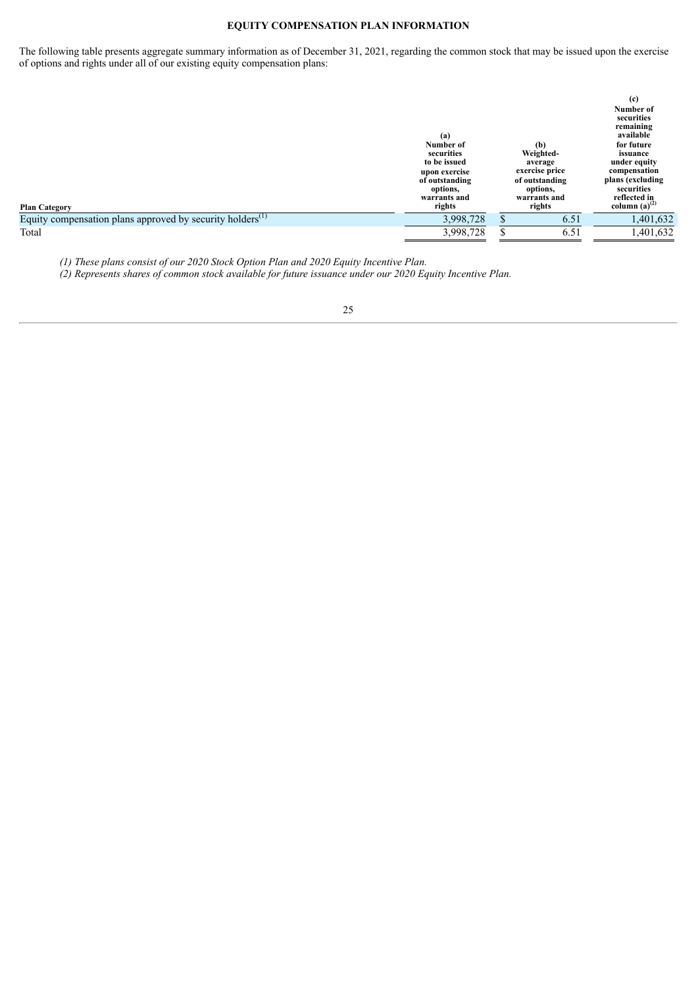# **EQUITY COMPENSATION PLAN INFORMATION**

<span id="page-28-0"></span>The following table presents aggregate summary information as of December 31, 2021, regarding the common stock that may be issued upon the exercise of options and rights under all of our existing equity compensation plans:

| <b>Plan Category</b>                                                  | (a)<br>Number of<br>securities<br>to be issued<br>upon exercise<br>of outstanding<br>options,<br>warrants and<br>rights | (b)<br>Weighted-<br>average<br>exercise price<br>of outstanding<br>options,<br>warrants and<br>rights | (c)<br>Number of<br>securities<br>remaining<br>available<br>for future<br>issuance<br>under equity<br>compensation<br>plans (excluding<br>securities<br>reflected in<br>column $(a)^{(2)}$ |
|-----------------------------------------------------------------------|-------------------------------------------------------------------------------------------------------------------------|-------------------------------------------------------------------------------------------------------|--------------------------------------------------------------------------------------------------------------------------------------------------------------------------------------------|
| Equity compensation plans approved by security holders <sup>(1)</sup> | 3,998,728                                                                                                               | 6.51                                                                                                  | 1,401,632                                                                                                                                                                                  |
| Total                                                                 | 3,998,728                                                                                                               | 6.51                                                                                                  | 1,401,632                                                                                                                                                                                  |

*(1) These plans consist of our 2020 Stock Option Plan and 2020 Equity Incentive Plan.*

*(2) Represents shares of common stock available for future issuance under our 2020 Equity Incentive Plan.*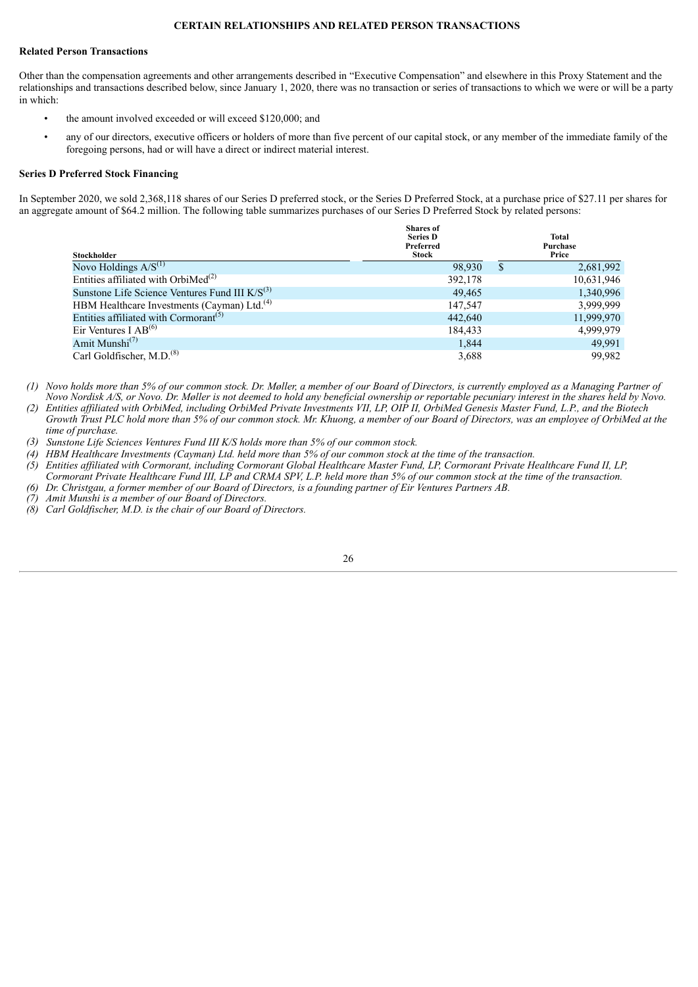#### **CERTAIN RELATIONSHIPS AND RELATED PERSON TRANSACTIONS**

#### <span id="page-29-0"></span>**Related Person Transactions**

Other than the compensation agreements and other arrangements described in "Executive Compensation" and elsewhere in this Proxy Statement and the relationships and transactions described below, since January 1, 2020, there was no transaction or series of transactions to which we were or will be a party in which:

- the amount involved exceeded or will exceed \$120,000; and
- any of our directors, executive officers or holders of more than five percent of our capital stock, or any member of the immediate family of the foregoing persons, had or will have a direct or indirect material interest.

#### **Series D Preferred Stock Financing**

In September 2020, we sold 2,368,118 shares of our Series D preferred stock, or the Series D Preferred Stock, at a purchase price of \$27.11 per shares for an aggregate amount of \$64.2 million. The following table summarizes purchases of our Series D Preferred Stock by related persons:

| Stockholder                                             | <b>Shares</b> of<br><b>Series D</b><br>Preferred<br>Stock | Total<br>Purchase<br>Price |            |  |
|---------------------------------------------------------|-----------------------------------------------------------|----------------------------|------------|--|
| Novo Holdings $A/S^{(1)}$                               | 98,930                                                    | S                          | 2,681,992  |  |
| Entities affiliated with OrbiMed <sup>(2)</sup>         | 392,178                                                   |                            | 10,631,946 |  |
| Sunstone Life Science Ventures Fund III $K/S^{(3)}$     | 49,465                                                    |                            | 1,340,996  |  |
| HBM Healthcare Investments (Cayman) Ltd. <sup>(4)</sup> | 147.547                                                   |                            | 3,999,999  |  |
| Entities affiliated with Cormorant <sup>(5)</sup>       | 442,640                                                   |                            | 11.999.970 |  |
| Eir Ventures I $AB^{(6)}$                               | 184,433                                                   |                            | 4,999,979  |  |
| Amit Munshi <sup>(7)</sup>                              | 1,844                                                     |                            | 49,991     |  |
| Carl Goldfischer, M.D. <sup>(8)</sup>                   | 3,688                                                     |                            | 99,982     |  |

(1) Novo holds more than 5% of our common stock. Dr. Møller, a member of our Board of Directors, is currently emploved as a Managing Partner of Novo Nordisk A/S, or Novo. Dr. Møller is not deemed to hold any beneficial ownership or reportable pecuniary interest in the shares held by Novo.

(2) Entities affiliated with OrbiMed, including OrbiMed Private Investments VII, LP, OIP II, OrbiMed Genesis Master Fund, L.P., and the Biotech Growth Trust PLC hold more than 5% of our common stock. Mr. Khuong, a member of our Board of Directors, was an employee of OrbiMed at the *time of purchase.*

*(3) Sunstone Life Sciences Ventures Fund III K/S holds more than 5% of our common stock.*

- (4) HBM Healthcare Investments (Cayman) Ltd. held more than 5% of our common stock at the time of the transaction.
- (5) Entities affiliated with Cormorant, including Cormorant Global Healthcare Master Fund, LP, Cormorant Private Healthcare Fund II, LP, Cormorant Private Healthcare Fund III, LP and CRMA SPV, L.P. held more than 5% of our common stock at the time of the transaction.
- (6) Dr. Christgau, a former member of our Board of Directors, is a founding partner of Eir Ventures Partners AB.
- *(7) Amit Munshi is a member of our Board of Directors.*
- *(8) Carl Goldfischer, M.D. is the chair of our Board of Directors.*

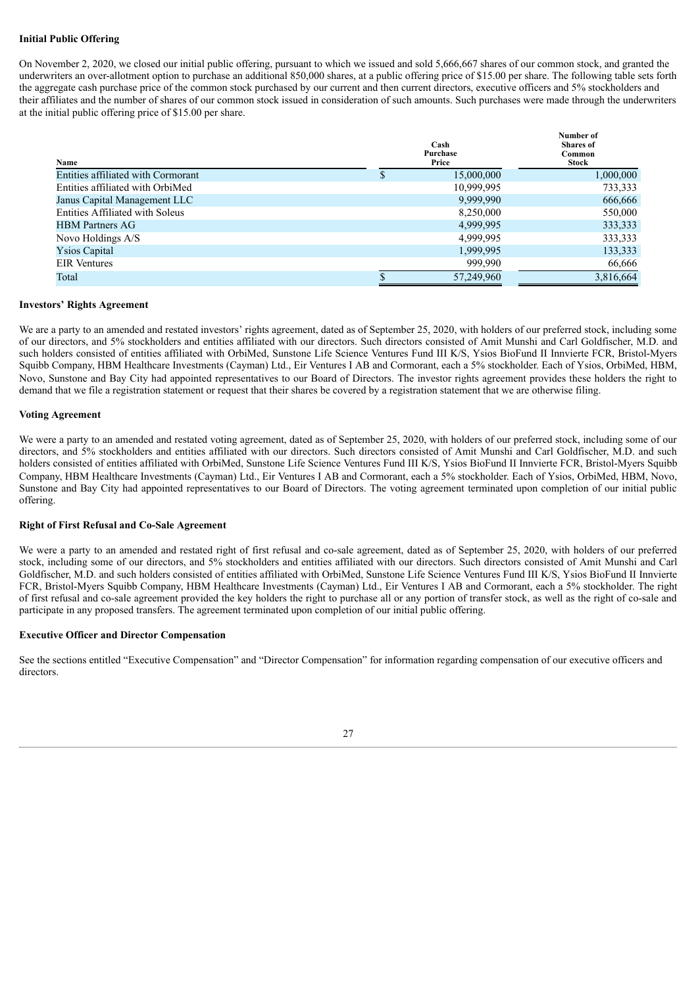# **Initial Public Offering**

On November 2, 2020, we closed our initial public offering, pursuant to which we issued and sold 5,666,667 shares of our common stock, and granted the underwriters an over-allotment option to purchase an additional 850,000 shares, at a public offering price of \$15.00 per share. The following table sets forth the aggregate cash purchase price of the common stock purchased by our current and then current directors, executive officers and 5% stockholders and their affiliates and the number of shares of our common stock issued in consideration of such amounts. Such purchases were made through the underwriters at the initial public offering price of \$15.00 per share.

| Name                                   | Cash<br>Purchase<br>Price | Number of<br><b>Shares</b> of<br>Common<br><b>Stock</b> |
|----------------------------------------|---------------------------|---------------------------------------------------------|
| Entities affiliated with Cormorant     | 15,000,000                | 1,000,000                                               |
| Entities affiliated with OrbiMed       | 10,999,995                | 733,333                                                 |
| Janus Capital Management LLC           | 9,999,990                 | 666,666                                                 |
| <b>Entities Affiliated with Soleus</b> | 8,250,000                 | 550,000                                                 |
| <b>HBM</b> Partners AG                 | 4,999,995                 | 333,333                                                 |
| Novo Holdings A/S                      | 4,999,995                 | 333,333                                                 |
| <b>Ysios Capital</b>                   | 1,999,995                 | 133,333                                                 |
| <b>EIR</b> Ventures                    | 999,990                   | 66,666                                                  |
| Total                                  | 57,249,960                | 3,816,664                                               |

#### **Investors' Rights Agreement**

We are a party to an amended and restated investors' rights agreement, dated as of September 25, 2020, with holders of our preferred stock, including some of our directors, and 5% stockholders and entities affiliated with our directors. Such directors consisted of Amit Munshi and Carl Goldfischer, M.D. and such holders consisted of entities affiliated with OrbiMed, Sunstone Life Science Ventures Fund III K/S, Ysios BioFund II Innvierte FCR, Bristol-Myers Squibb Company, HBM Healthcare Investments (Cayman) Ltd., Eir Ventures I AB and Cormorant, each a 5% stockholder. Each of Ysios, OrbiMed, HBM, Novo, Sunstone and Bay City had appointed representatives to our Board of Directors. The investor rights agreement provides these holders the right to demand that we file a registration statement or request that their shares be covered by a registration statement that we are otherwise filing.

## **Voting Agreement**

We were a party to an amended and restated voting agreement, dated as of September 25, 2020, with holders of our preferred stock, including some of our directors, and 5% stockholders and entities affiliated with our directors. Such directors consisted of Amit Munshi and Carl Goldfischer, M.D. and such holders consisted of entities affiliated with OrbiMed, Sunstone Life Science Ventures Fund III K/S, Ysios BioFund II Innvierte FCR, Bristol-Myers Squibb Company, HBM Healthcare Investments (Cayman) Ltd., Eir Ventures I AB and Cormorant, each a 5% stockholder. Each of Ysios, OrbiMed, HBM, Novo, Sunstone and Bay City had appointed representatives to our Board of Directors. The voting agreement terminated upon completion of our initial public offering.

# **Right of First Refusal and Co-Sale Agreement**

We were a party to an amended and restated right of first refusal and co-sale agreement, dated as of September 25, 2020, with holders of our preferred stock, including some of our directors, and 5% stockholders and entities affiliated with our directors. Such directors consisted of Amit Munshi and Carl Goldfischer, M.D. and such holders consisted of entities affiliated with OrbiMed, Sunstone Life Science Ventures Fund III K/S, Ysios BioFund II Innvierte FCR, Bristol-Myers Squibb Company, HBM Healthcare Investments (Cayman) Ltd., Eir Ventures I AB and Cormorant, each a 5% stockholder. The right of first refusal and co-sale agreement provided the key holders the right to purchase all or any portion of transfer stock, as well as the right of co-sale and participate in any proposed transfers. The agreement terminated upon completion of our initial public offering.

# **Executive Officer and Director Compensation**

See the sections entitled "Executive Compensation" and "Director Compensation" for information regarding compensation of our executive officers and directors.

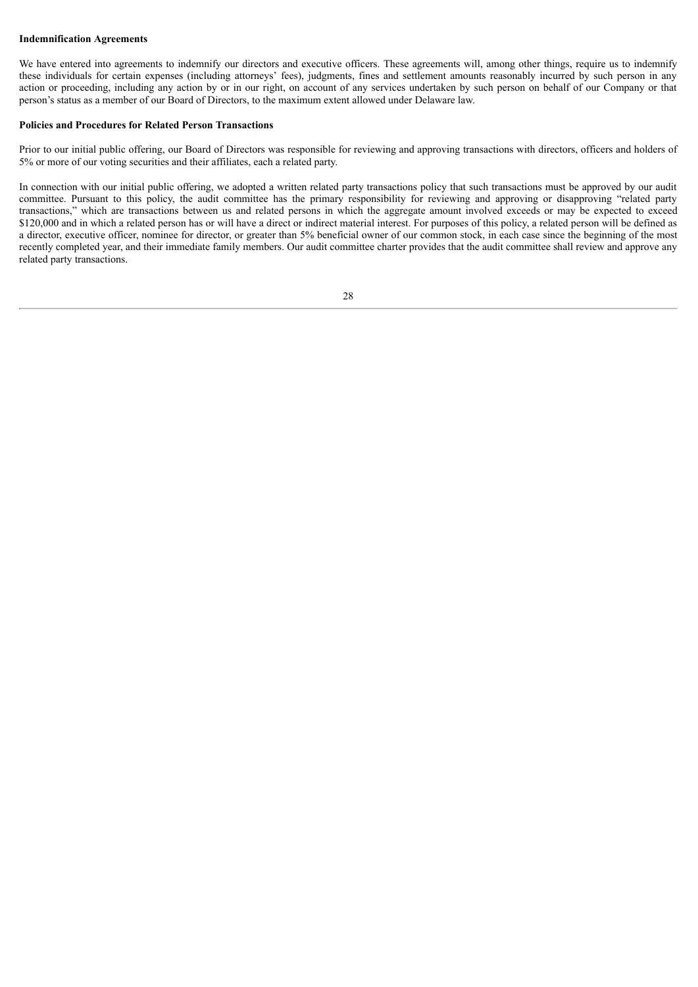# **Indemnification Agreements**

We have entered into agreements to indemnify our directors and executive officers. These agreements will, among other things, require us to indemnify these individuals for certain expenses (including attorneys' fees), judgments, fines and settlement amounts reasonably incurred by such person in any action or proceeding, including any action by or in our right, on account of any services undertaken by such person on behalf of our Company or that person's status as a member of our Board of Directors, to the maximum extent allowed under Delaware law.

# **Policies and Procedures for Related Person Transactions**

Prior to our initial public offering, our Board of Directors was responsible for reviewing and approving transactions with directors, officers and holders of 5% or more of our voting securities and their affiliates, each a related party.

In connection with our initial public offering, we adopted a written related party transactions policy that such transactions must be approved by our audit committee. Pursuant to this policy, the audit committee has the primary responsibility for reviewing and approving or disapproving "related party transactions," which are transactions between us and related persons in which the aggregate amount involved exceeds or may be expected to exceed \$120,000 and in which a related person has or will have a direct or indirect material interest. For purposes of this policy, a related person will be defined as a director, executive officer, nominee for director, or greater than 5% beneficial owner of our common stock, in each case since the beginning of the most recently completed year, and their immediate family members. Our audit committee charter provides that the audit committee shall review and approve any related party transactions.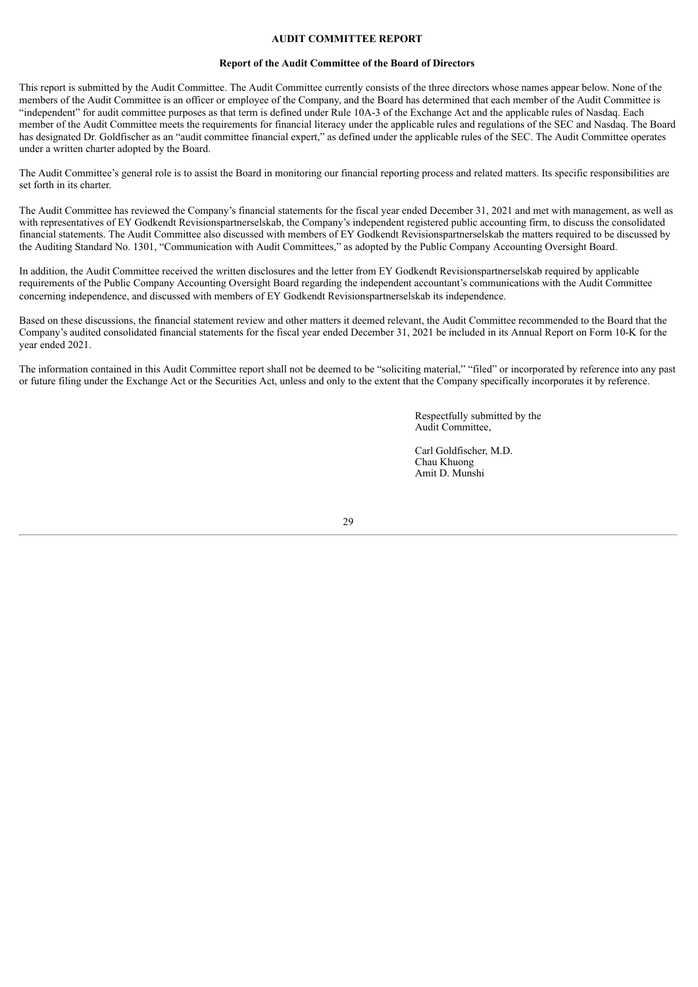#### **AUDIT COMMITTEE REPORT**

#### **Report of the Audit Committee of the Board of Directors**

<span id="page-32-0"></span>This report is submitted by the Audit Committee. The Audit Committee currently consists of the three directors whose names appear below. None of the members of the Audit Committee is an officer or employee of the Company, and the Board has determined that each member of the Audit Committee is "independent" for audit committee purposes as that term is defined under Rule 10A-3 of the Exchange Act and the applicable rules of Nasdaq. Each member of the Audit Committee meets the requirements for financial literacy under the applicable rules and regulations of the SEC and Nasdaq. The Board has designated Dr. Goldfischer as an "audit committee financial expert," as defined under the applicable rules of the SEC. The Audit Committee operates under a written charter adopted by the Board.

The Audit Committee's general role is to assist the Board in monitoring our financial reporting process and related matters. Its specific responsibilities are set forth in its charter.

The Audit Committee has reviewed the Company's financial statements for the fiscal year ended December 31, 2021 and met with management, as well as with representatives of EY Godkendt Revisionspartnerselskab, the Company's independent registered public accounting firm, to discuss the consolidated financial statements. The Audit Committee also discussed with members of EY Godkendt Revisionspartnerselskab the matters required to be discussed by the Auditing Standard No. 1301, "Communication with Audit Committees," as adopted by the Public Company Accounting Oversight Board.

In addition, the Audit Committee received the written disclosures and the letter from EY Godkendt Revisionspartnerselskab required by applicable requirements of the Public Company Accounting Oversight Board regarding the independent accountant's communications with the Audit Committee concerning independence, and discussed with members of EY Godkendt Revisionspartnerselskab its independence.

Based on these discussions, the financial statement review and other matters it deemed relevant, the Audit Committee recommended to the Board that the Company's audited consolidated financial statements for the fiscal year ended December 31, 2021 be included in its Annual Report on Form 10-K for the year ended 2021.

The information contained in this Audit Committee report shall not be deemed to be "soliciting material," "filed" or incorporated by reference into any past or future filing under the Exchange Act or the Securities Act, unless and only to the extent that the Company specifically incorporates it by reference.

> Respectfully submitted by the Audit Committee,

Carl Goldfischer, M.D. Chau Khuong Amit D. Munshi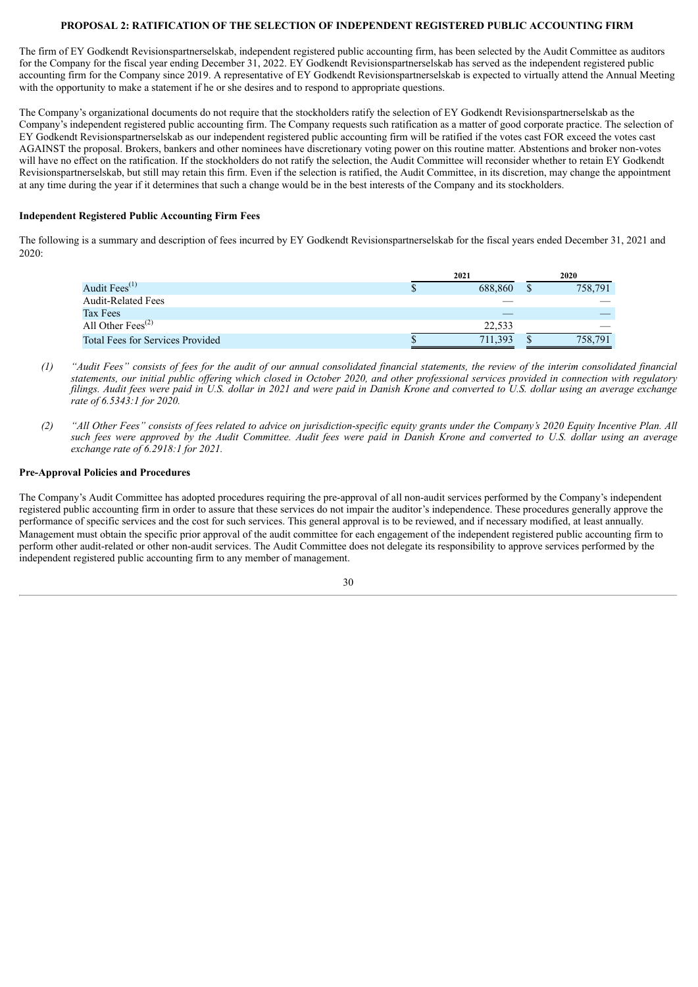#### **PROPOSAL 2: RATIFICATION OF THE SELECTION OF INDEPENDENT REGISTERED PUBLIC ACCOUNTING FIRM**

<span id="page-33-0"></span>The firm of EY Godkendt Revisionspartnerselskab, independent registered public accounting firm, has been selected by the Audit Committee as auditors for the Company for the fiscal year ending December 31, 2022. EY Godkendt Revisionspartnerselskab has served as the independent registered public accounting firm for the Company since 2019. A representative of EY Godkendt Revisionspartnerselskab is expected to virtually attend the Annual Meeting with the opportunity to make a statement if he or she desires and to respond to appropriate questions.

The Company's organizational documents do not require that the stockholders ratify the selection of EY Godkendt Revisionspartnerselskab as the Company's independent registered public accounting firm. The Company requests such ratification as a matter of good corporate practice. The selection of EY Godkendt Revisionspartnerselskab as our independent registered public accounting firm will be ratified if the votes cast FOR exceed the votes cast AGAINST the proposal. Brokers, bankers and other nominees have discretionary voting power on this routine matter. Abstentions and broker non-votes will have no effect on the ratification. If the stockholders do not ratify the selection, the Audit Committee will reconsider whether to retain EY Godkendt Revisionspartnerselskab, but still may retain this firm. Even if the selection is ratified, the Audit Committee, in its discretion, may change the appointment at any time during the year if it determines that such a change would be in the best interests of the Company and its stockholders.

# **Independent Registered Public Accounting Firm Fees**

The following is a summary and description of fees incurred by EY Godkendt Revisionspartnerselskab for the fiscal years ended December 31, 2021 and 2020:

|                                            | 2021 |         | 2020    |
|--------------------------------------------|------|---------|---------|
| Audit Fees $(1)$                           |      | 688.860 | 758,791 |
| <b>Audit-Related Fees</b>                  |      |         |         |
| Tax Fees                                   |      |         |         |
| All Other Fees <sup><math>(2)</math></sup> |      | 22.533  |         |
| <b>Total Fees for Services Provided</b>    |      | 711.393 | 758,791 |

- (1) "Audit Fees" consists of fees for the audit of our annual consolidated financial statements, the review of the interim consolidated financial statements, our initial public offering which closed in October 2020, and other professional services provided in connection with regulatory filings. Audit fees were paid in U.S. dollar in 2021 and were paid in Danish Krone and converted to U.S. dollar using an average exchange *rate of 6.5343:1 for 2020.*
- (2) "All Other Fees" consists of fees related to advice on jurisdiction-specific equity grants under the Company's 2020 Equity Incentive Plan. All such fees were approved by the Audit Committee. Audit fees were paid in Danish Krone and converted to U.S. dollar using an average *exchange rate of 6.2918:1 for 2021.*

#### **Pre-Approval Policies and Procedures**

The Company's Audit Committee has adopted procedures requiring the pre-approval of all non-audit services performed by the Company's independent registered public accounting firm in order to assure that these services do not impair the auditor's independence. These procedures generally approve the performance of specific services and the cost for such services. This general approval is to be reviewed, and if necessary modified, at least annually. Management must obtain the specific prior approval of the audit committee for each engagement of the independent registered public accounting firm to perform other audit-related or other non-audit services. The Audit Committee does not delegate its responsibility to approve services performed by the independent registered public accounting firm to any member of management.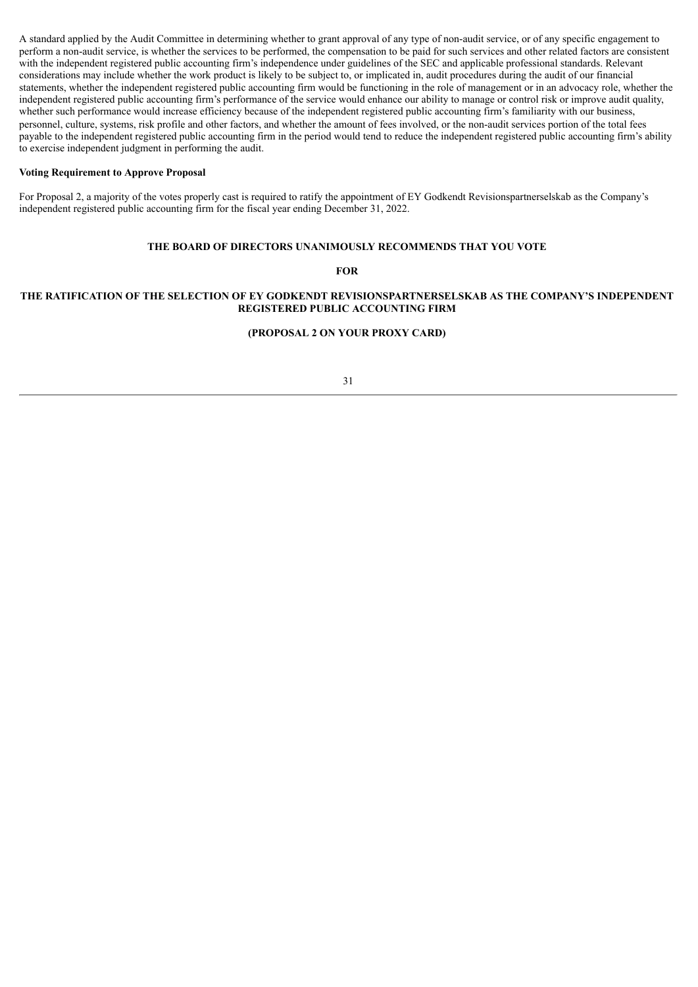A standard applied by the Audit Committee in determining whether to grant approval of any type of non-audit service, or of any specific engagement to perform a non-audit service, is whether the services to be performed, the compensation to be paid for such services and other related factors are consistent with the independent registered public accounting firm's independence under guidelines of the SEC and applicable professional standards. Relevant considerations may include whether the work product is likely to be subject to, or implicated in, audit procedures during the audit of our financial statements, whether the independent registered public accounting firm would be functioning in the role of management or in an advocacy role, whether the independent registered public accounting firm's performance of the service would enhance our ability to manage or control risk or improve audit quality, whether such performance would increase efficiency because of the independent registered public accounting firm's familiarity with our business, personnel, culture, systems, risk profile and other factors, and whether the amount of fees involved, or the non-audit services portion of the total fees payable to the independent registered public accounting firm in the period would tend to reduce the independent registered public accounting firm's ability to exercise independent judgment in performing the audit.

#### **Voting Requirement to Approve Proposal**

For Proposal 2, a majority of the votes properly cast is required to ratify the appointment of EY Godkendt Revisionspartnerselskab as the Company's independent registered public accounting firm for the fiscal year ending December 31, 2022.

#### **THE BOARD OF DIRECTORS UNANIMOUSLY RECOMMENDS THAT YOU VOTE**

#### **FOR**

# **THE RATIFICATION OF THE SELECTION OF EY GODKENDT REVISIONSPARTNERSELSKAB AS THE COMPANY'S INDEPENDENT REGISTERED PUBLIC ACCOUNTING FIRM**

#### **(PROPOSAL 2 ON YOUR PROXY CARD)**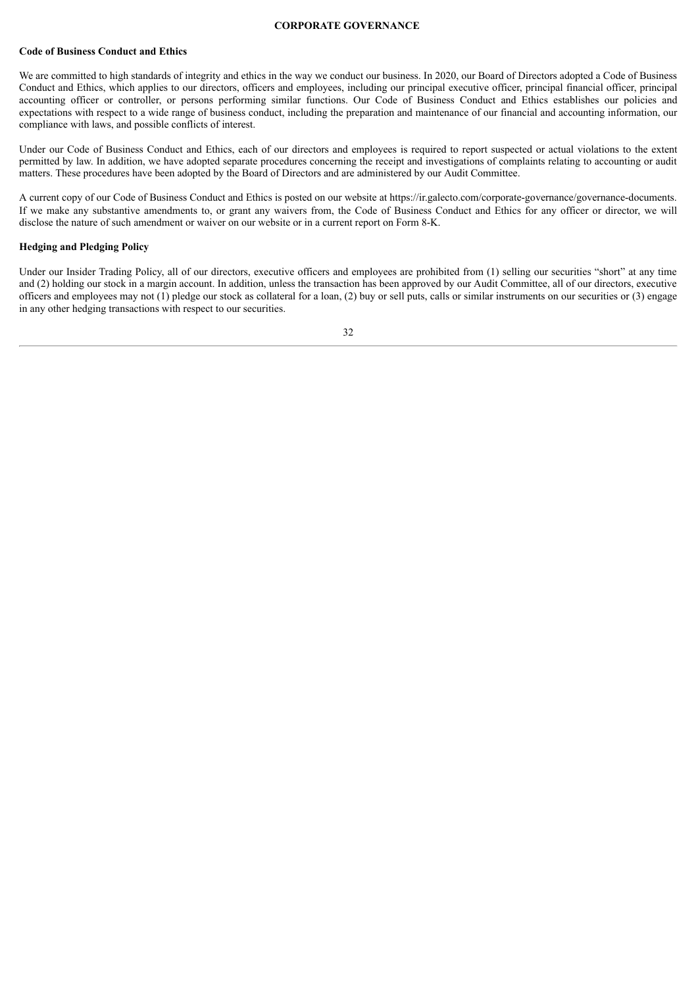#### **CORPORATE GOVERNANCE**

#### <span id="page-35-0"></span>**Code of Business Conduct and Ethics**

We are committed to high standards of integrity and ethics in the way we conduct our business. In 2020, our Board of Directors adopted a Code of Business Conduct and Ethics, which applies to our directors, officers and employees, including our principal executive officer, principal financial officer, principal accounting officer or controller, or persons performing similar functions. Our Code of Business Conduct and Ethics establishes our policies and expectations with respect to a wide range of business conduct, including the preparation and maintenance of our financial and accounting information, our compliance with laws, and possible conflicts of interest.

Under our Code of Business Conduct and Ethics, each of our directors and employees is required to report suspected or actual violations to the extent permitted by law. In addition, we have adopted separate procedures concerning the receipt and investigations of complaints relating to accounting or audit matters. These procedures have been adopted by the Board of Directors and are administered by our Audit Committee.

A current copy of our Code of Business Conduct and Ethics is posted on our website at https://ir.galecto.com/corporate-governance/governance-documents. If we make any substantive amendments to, or grant any waivers from, the Code of Business Conduct and Ethics for any officer or director, we will disclose the nature of such amendment or waiver on our website or in a current report on Form 8-K.

### **Hedging and Pledging Policy**

Under our Insider Trading Policy, all of our directors, executive officers and employees are prohibited from (1) selling our securities "short" at any time and (2) holding our stock in a margin account. In addition, unless the transaction has been approved by our Audit Committee, all of our directors, executive officers and employees may not  $(1)$  pledge our stock as collateral for a loan,  $(2)$  buy or sell puts, calls or similar instruments on our securities or  $(3)$  engage in any other hedging transactions with respect to our securities.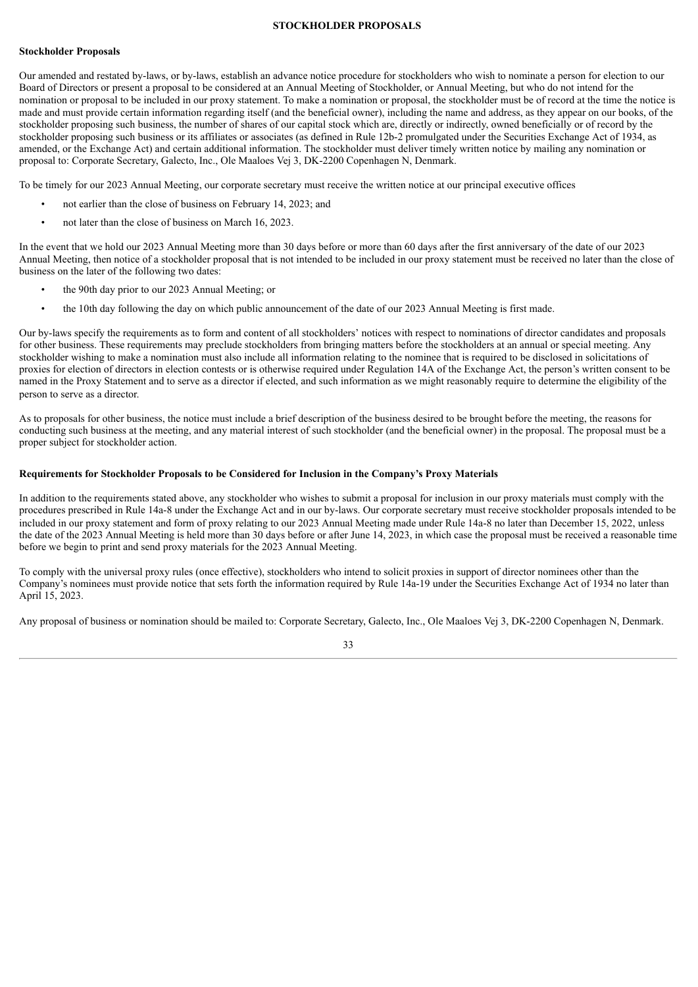#### **STOCKHOLDER PROPOSALS**

#### <span id="page-36-0"></span>**Stockholder Proposals**

Our amended and restated by-laws, or by-laws, establish an advance notice procedure for stockholders who wish to nominate a person for election to our Board of Directors or present a proposal to be considered at an Annual Meeting of Stockholder, or Annual Meeting, but who do not intend for the nomination or proposal to be included in our proxy statement. To make a nomination or proposal, the stockholder must be of record at the time the notice is made and must provide certain information regarding itself (and the beneficial owner), including the name and address, as they appear on our books, of the stockholder proposing such business, the number of shares of our capital stock which are, directly or indirectly, owned beneficially or of record by the stockholder proposing such business or its affiliates or associates (as defined in Rule 12b-2 promulgated under the Securities Exchange Act of 1934, as amended, or the Exchange Act) and certain additional information. The stockholder must deliver timely written notice by mailing any nomination or proposal to: Corporate Secretary, Galecto, Inc., Ole Maaloes Vej 3, DK-2200 Copenhagen N, Denmark.

To be timely for our 2023 Annual Meeting, our corporate secretary must receive the written notice at our principal executive offices

- not earlier than the close of business on February 14, 2023; and
- not later than the close of business on March 16, 2023.

In the event that we hold our 2023 Annual Meeting more than 30 days before or more than 60 days after the first anniversary of the date of our 2023 Annual Meeting, then notice of a stockholder proposal that is not intended to be included in our proxy statement must be received no later than the close of business on the later of the following two dates:

- the 90th day prior to our 2023 Annual Meeting; or
- the 10th day following the day on which public announcement of the date of our 2023 Annual Meeting is first made.

Our by-laws specify the requirements as to form and content of all stockholders' notices with respect to nominations of director candidates and proposals for other business. These requirements may preclude stockholders from bringing matters before the stockholders at an annual or special meeting. Any stockholder wishing to make a nomination must also include all information relating to the nominee that is required to be disclosed in solicitations of proxies for election of directors in election contests or is otherwise required under Regulation 14A of the Exchange Act, the person's written consent to be named in the Proxy Statement and to serve as a director if elected, and such information as we might reasonably require to determine the eligibility of the person to serve as a director.

As to proposals for other business, the notice must include a brief description of the business desired to be brought before the meeting, the reasons for conducting such business at the meeting, and any material interest of such stockholder (and the beneficial owner) in the proposal. The proposal must be a proper subject for stockholder action.

#### **Requirements for Stockholder Proposals to be Considered for Inclusion in the Company's Proxy Materials**

In addition to the requirements stated above, any stockholder who wishes to submit a proposal for inclusion in our proxy materials must comply with the procedures prescribed in Rule 14a-8 under the Exchange Act and in our by-laws. Our corporate secretary must receive stockholder proposals intended to be included in our proxy statement and form of proxy relating to our 2023 Annual Meeting made under Rule 14a-8 no later than December 15, 2022, unless the date of the 2023 Annual Meeting is held more than 30 days before or after June 14, 2023, in which case the proposal must be received a reasonable time before we begin to print and send proxy materials for the 2023 Annual Meeting.

To comply with the universal proxy rules (once effective), stockholders who intend to solicit proxies in support of director nominees other than the Company's nominees must provide notice that sets forth the information required by Rule 14a-19 under the Securities Exchange Act of 1934 no later than April 15, 2023.

Any proposal of business or nomination should be mailed to: Corporate Secretary, Galecto, Inc., Ole Maaloes Vej 3, DK-2200 Copenhagen N, Denmark.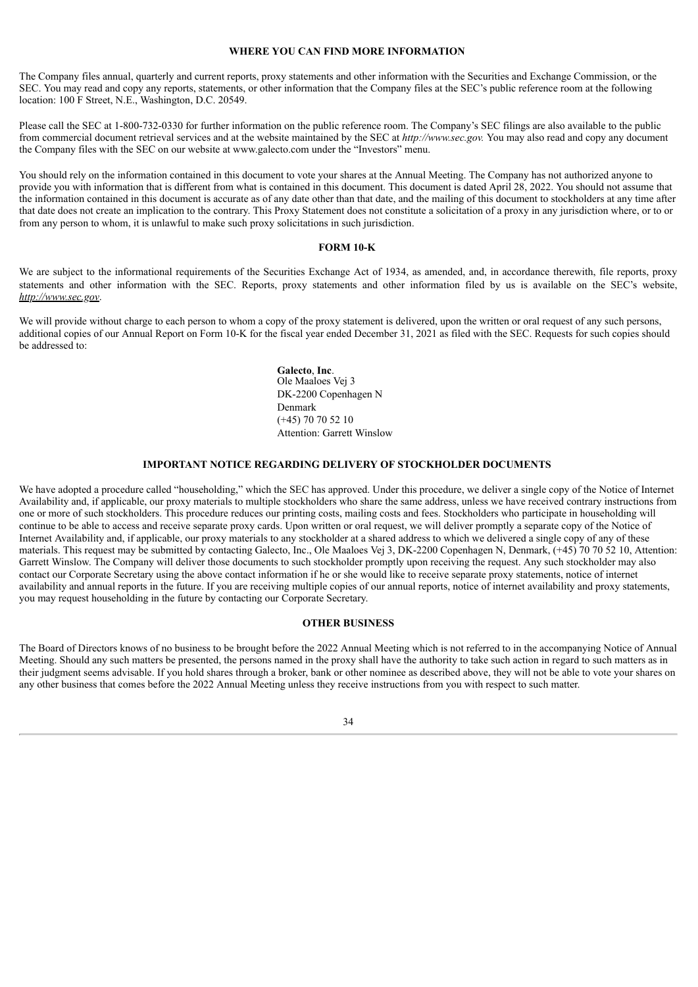# **WHERE YOU CAN FIND MORE INFORMATION**

<span id="page-37-0"></span>The Company files annual, quarterly and current reports, proxy statements and other information with the Securities and Exchange Commission, or the SEC. You may read and copy any reports, statements, or other information that the Company files at the SEC's public reference room at the following location: 100 F Street, N.E., Washington, D.C. 20549.

Please call the SEC at 1-800-732-0330 for further information on the public reference room. The Company's SEC filings are also available to the public from commercial document retrieval services and at the website maintained by the SEC at *http://www.sec.gov.* You may also read and copy any document the Company files with the SEC on our website at www.galecto.com under the "Investors" menu.

You should rely on the information contained in this document to vote your shares at the Annual Meeting. The Company has not authorized anyone to provide you with information that is different from what is contained in this document. This document is dated April 28, 2022. You should not assume that the information contained in this document is accurate as of any date other than that date, and the mailing of this document to stockholders at any time after that date does not create an implication to the contrary. This Proxy Statement does not constitute a solicitation of a proxy in any jurisdiction where, or to or from any person to whom, it is unlawful to make such proxy solicitations in such jurisdiction.

#### **FORM 10-K**

We are subject to the informational requirements of the Securities Exchange Act of 1934, as amended, and, in accordance therewith, file reports, proxy statements and other information with the SEC. Reports, proxy statements and other information filed by us is available on the SEC's website, *http://www.sec.gov*.

We will provide without charge to each person to whom a copy of the proxy statement is delivered, upon the written or oral request of any such persons, additional copies of our Annual Report on Form 10-K for the fiscal year ended December 31, 2021 as filed with the SEC. Requests for such copies should be addressed to:

> **Galecto**, **Inc**. Ole Maaloes Vej 3 DK-2200 Copenhagen N Denmark (+45) 70 70 52 10 Attention: Garrett Winslow

#### **IMPORTANT NOTICE REGARDING DELIVERY OF STOCKHOLDER DOCUMENTS**

We have adopted a procedure called "householding," which the SEC has approved. Under this procedure, we deliver a single copy of the Notice of Internet Availability and, if applicable, our proxy materials to multiple stockholders who share the same address, unless we have received contrary instructions from one or more of such stockholders. This procedure reduces our printing costs, mailing costs and fees. Stockholders who participate in householding will continue to be able to access and receive separate proxy cards. Upon written or oral request, we will deliver promptly a separate copy of the Notice of Internet Availability and, if applicable, our proxy materials to any stockholder at a shared address to which we delivered a single copy of any of these materials. This request may be submitted by contacting Galecto, Inc., Ole Maaloes Vej 3, DK-2200 Copenhagen N, Denmark, (+45) 70 70 52 10, Attention: Garrett Winslow. The Company will deliver those documents to such stockholder promptly upon receiving the request. Any such stockholder may also contact our Corporate Secretary using the above contact information if he or she would like to receive separate proxy statements, notice of internet availability and annual reports in the future. If you are receiving multiple copies of our annual reports, notice of internet availability and proxy statements, you may request householding in the future by contacting our Corporate Secretary.

# **OTHER BUSINESS**

The Board of Directors knows of no business to be brought before the 2022 Annual Meeting which is not referred to in the accompanying Notice of Annual Meeting. Should any such matters be presented, the persons named in the proxy shall have the authority to take such action in regard to such matters as in their judgment seems advisable. If you hold shares through a broker, bank or other nominee as described above, they will not be able to vote your shares on any other business that comes before the 2022 Annual Meeting unless they receive instructions from you with respect to such matter.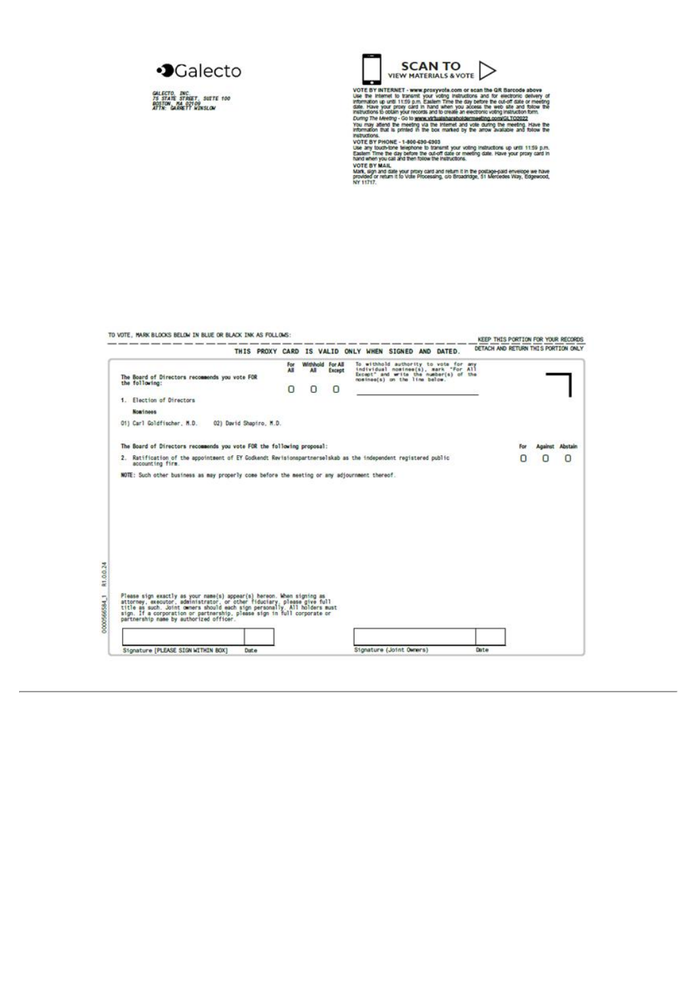

GALECTO, INC.<br>75 STATE STREET, SUITE 100<br>ROSTON, MA 02109<br>ATTN: GARGETT WINSLOW



VIEW MATERIALS & VOTE<br>
VER MATERIALS & VOTE<br>
VER MATERIALS & VOTE<br>
VER MATERIALS & VOTE<br>
VER MATERIALS & VOTE<br>
VER SERIES TO EXAMPLE THE STATE SO THE STATE OF STATE OF STATE OF THE STATE OF THE STATE OF THE STATE OF THE ST

|                                                                                                                                                                                                                                                                                                                                                   | THIS PROXY CARD IS VALID ONLY WHEN SIGNED AND DATED. |          |                                        |                                                                                                                                                          |  |  | DETACH AND RETURN THIS PORTION ONLY |     |                 |   |
|---------------------------------------------------------------------------------------------------------------------------------------------------------------------------------------------------------------------------------------------------------------------------------------------------------------------------------------------------|------------------------------------------------------|----------|----------------------------------------|----------------------------------------------------------------------------------------------------------------------------------------------------------|--|--|-------------------------------------|-----|-----------------|---|
| The Board of Directors recommends you vote FOR<br>the following:                                                                                                                                                                                                                                                                                  | For<br>All<br>O                                      | All<br>0 | Withhold For All<br>Except<br>$\Omega$ | To withhold authority to vote for any<br>individual nomines(s), mark "For All<br>Except" and write the number(s) of the<br>nosines(s) on the line below. |  |  |                                     |     |                 |   |
| 1. Election of Directors                                                                                                                                                                                                                                                                                                                          |                                                      |          |                                        |                                                                                                                                                          |  |  |                                     |     |                 |   |
| Nominees                                                                                                                                                                                                                                                                                                                                          |                                                      |          |                                        |                                                                                                                                                          |  |  |                                     |     |                 |   |
| 01) Carl Goldfischer, M.D.<br>02) David Shapiro, M.D.                                                                                                                                                                                                                                                                                             |                                                      |          |                                        |                                                                                                                                                          |  |  |                                     |     |                 |   |
| The Board of Directors recommends you vote FOR the following proposal:                                                                                                                                                                                                                                                                            |                                                      |          |                                        |                                                                                                                                                          |  |  |                                     | For | Against Abstain |   |
| 2. Ratification of the appointment of EY Godkendt Revisionspartnerselskab as the independent registered public<br>accounting firm.                                                                                                                                                                                                                |                                                      |          |                                        |                                                                                                                                                          |  |  |                                     |     | O               | O |
| NOTE: Such other business as may properly come before the meeting or any adjournment thereof.                                                                                                                                                                                                                                                     |                                                      |          |                                        |                                                                                                                                                          |  |  |                                     |     |                 |   |
|                                                                                                                                                                                                                                                                                                                                                   |                                                      |          |                                        |                                                                                                                                                          |  |  |                                     |     |                 |   |
|                                                                                                                                                                                                                                                                                                                                                   |                                                      |          |                                        |                                                                                                                                                          |  |  |                                     |     |                 |   |
|                                                                                                                                                                                                                                                                                                                                                   |                                                      |          |                                        |                                                                                                                                                          |  |  |                                     |     |                 |   |
| Please sign exactly as your name(s) appear(s) hereon. When signing as<br>attorney, executor, administrator. or other fiduciary, please give full<br>title as such. Joint commers should each sign personally. All holders must<br>sign. If a corporation or partnership, please sign in full corporate or partnership name by authorized officer. |                                                      |          |                                        |                                                                                                                                                          |  |  |                                     |     |                 |   |